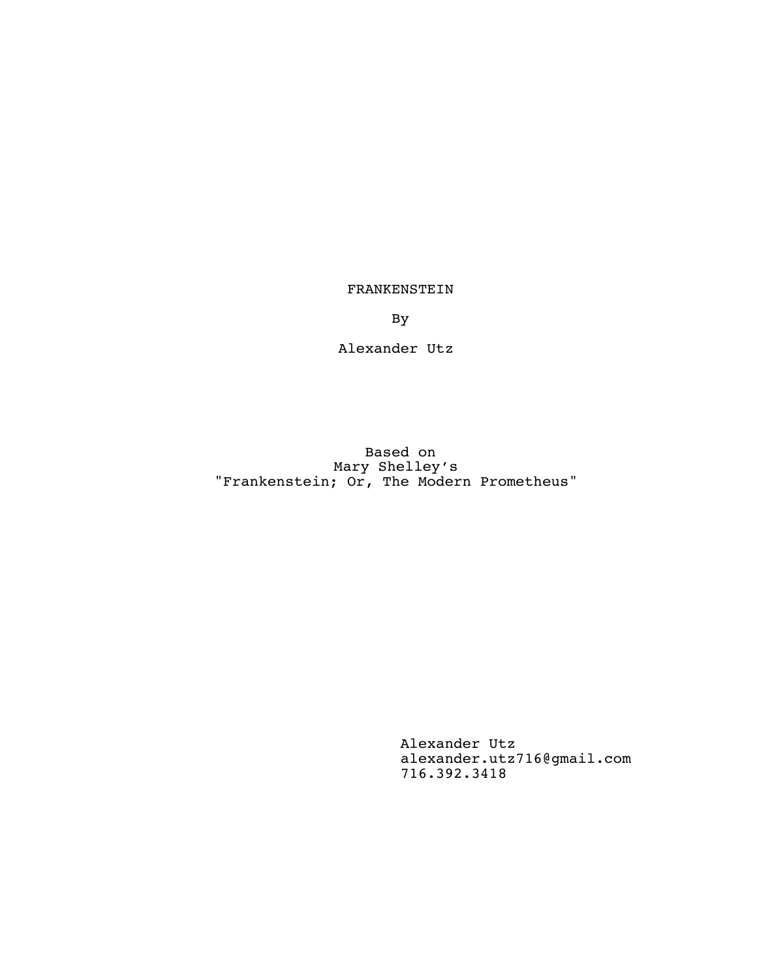FRANKENSTEIN

By

Alexander Utz

Based on Mary Shelley's "Frankenstein; Or, The Modern Prometheus"

> Alexander Utz alexander.utz716@gmail.com 716.392.3418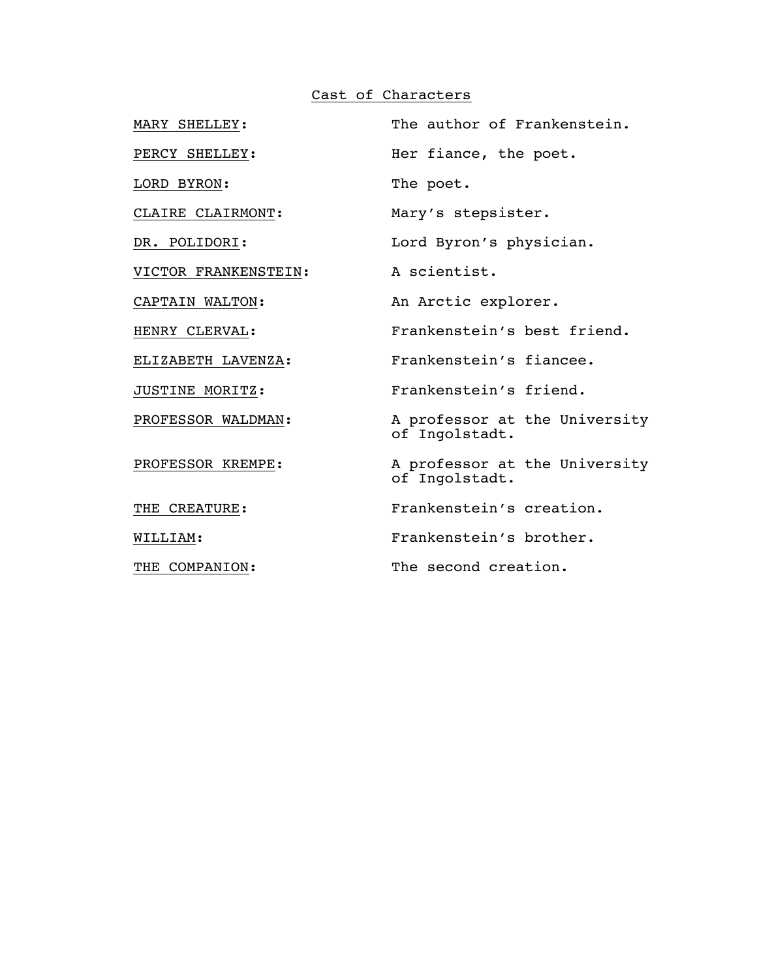# Cast of Characters

| MARY SHELLEY:        | The author of Frankenstein.                     |
|----------------------|-------------------------------------------------|
| PERCY SHELLEY:       | Her fiance, the poet.                           |
| LORD BYRON:          | The poet.                                       |
| CLAIRE CLAIRMONT:    | Mary's stepsister.                              |
| DR. POLIDORI:        | Lord Byron's physician.                         |
| VICTOR FRANKENSTEIN: | A scientist.                                    |
| CAPTAIN WALTON:      | An Arctic explorer.                             |
| HENRY CLERVAL:       | Frankenstein's best friend.                     |
| ELIZABETH LAVENZA:   | Frankenstein's fiancee.                         |
| JUSTINE MORITZ:      | Frankenstein's friend.                          |
| PROFESSOR WALDMAN:   | A professor at the University<br>of Ingolstadt. |
| PROFESSOR KREMPE:    | A professor at the University<br>of Ingolstadt. |
| THE CREATURE:        | Frankenstein's creation.                        |
| WILLIAM:             | Frankenstein's brother.                         |
| THE COMPANION:       | The second creation.                            |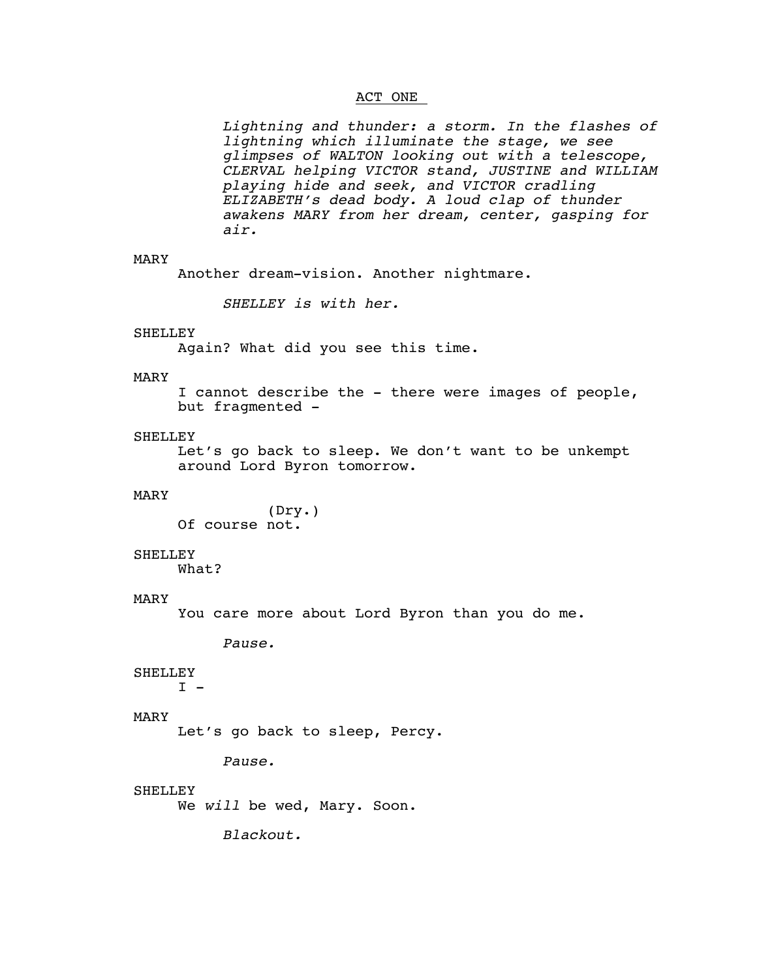# ACT ONE

*Lightning and thunder: a storm. In the flashes of lightning which illuminate the stage, we see glimpses of WALTON looking out with a telescope, CLERVAL helping VICTOR stand, JUSTINE and WILLIAM playing hide and seek, and VICTOR cradling ELIZABETH's dead body. A loud clap of thunder awakens MARY from her dream, center, gasping for air.*

# MARY

Another dream-vision. Another nightmare.

*SHELLEY is with her.*

# **SHELLEY**

Again? What did you see this time.

# MARY

I cannot describe the - there were images of people, but fragmented -

#### SHELLEY

Let's go back to sleep. We don't want to be unkempt around Lord Byron tomorrow.

#### MARY

(Dry.) Of course not.

#### **SHELLEY**

What?

#### MARY

You care more about Lord Byron than you do me.

*Pause.*

#### **SHELLEY**

 $I -$ 

# MARY

Let's go back to sleep, Percy.

*Pause.*

#### **SHELLEY**

We *will* be wed, Mary. Soon.

*Blackout.*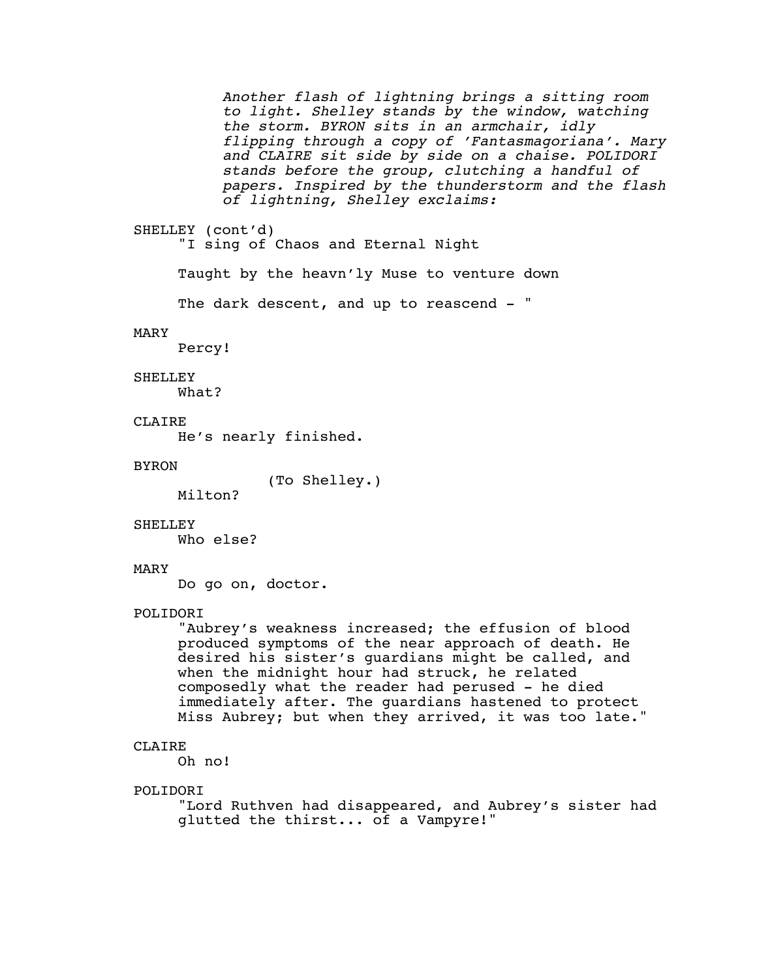*Another flash of lightning brings a sitting room to light. Shelley stands by the window, watching the storm. BYRON sits in an armchair, idly flipping through a copy of 'Fantasmagoriana'. Mary and CLAIRE sit side by side on a chaise. POLIDORI stands before the group, clutching a handful of papers. Inspired by the thunderstorm and the flash of lightning, Shelley exclaims:*

```
SHELLEY (cont'd)
```
"I sing of Chaos and Eternal Night

Taught by the heavn'ly Muse to venture down

The dark descent, and up to reascend - "

#### MARY

Percy!

#### SHELLEY

What?

# **CLAIRE**

He's nearly finished.

# BYRON

(To Shelley.)

Milton?

#### SHELLEY

Who else?

#### MARY

Do go on, doctor.

# POLIDORI

"Aubrey's weakness increased; the effusion of blood produced symptoms of the near approach of death. He desired his sister's guardians might be called, and when the midnight hour had struck, he related composedly what the reader had perused - he died immediately after. The guardians hastened to protect Miss Aubrey; but when they arrived, it was too late."

#### CLAIRE

Oh no!

#### POLIDORI

"Lord Ruthven had disappeared, and Aubrey's sister had glutted the thirst... of a Vampyre!"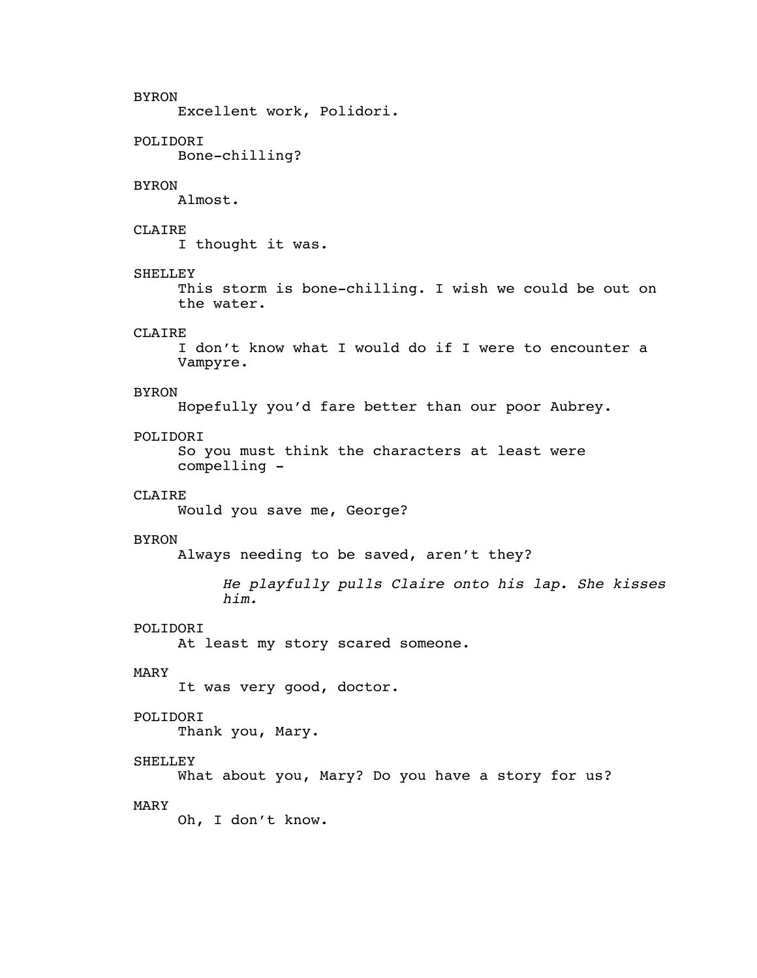# BYRON

Excellent work, Polidori.

# POLIDORI

Bone-chilling?

#### BYRON

Almost.

# CLAIRE

I thought it was.

#### SHELLEY

This storm is bone-chilling. I wish we could be out on the water.

# CLAIRE

I don't know what I would do if I were to encounter a Vampyre.

#### BYRON

Hopefully you'd fare better than our poor Aubrey.

# POLIDORI

So you must think the characters at least were compelling -

# CLAIRE

Would you save me, George?

#### BYRON

Always needing to be saved, aren't they?

*He playfully pulls Claire onto his lap. She kisses him.*

# POLIDORI

At least my story scared someone.

# MARY

It was very good, doctor.

# POLIDORI

Thank you, Mary.

# SHELLEY

What about you, Mary? Do you have a story for us?

# MARY

Oh, I don't know.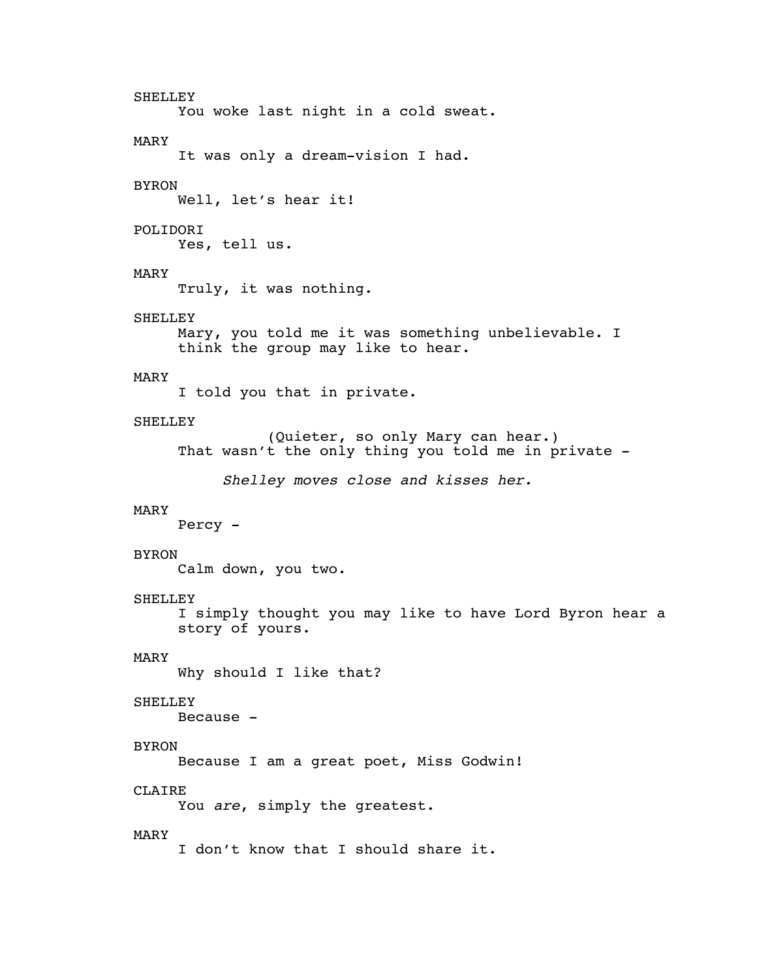SHELLEY You woke last night in a cold sweat. MARY It was only a dream-vision I had. BYRON Well, let's hear it! POLIDORI Yes, tell us. MARY Truly, it was nothing. **SHELLEY** Mary, you told me it was something unbelievable. I think the group may like to hear. MARY I told you that in private. **SHELLEY** (Quieter, so only Mary can hear.) That wasn't the only thing you told me in private -*Shelley moves close and kisses her.* MARY Percy - BYRON Calm down, you two. SHELLEY I simply thought you may like to have Lord Byron hear a story of yours. MARY Why should I like that? SHELLEY Because - BYRON Because I am a great poet, Miss Godwin! CLAIRE You *are*, simply the greatest. MARY I don't know that I should share it.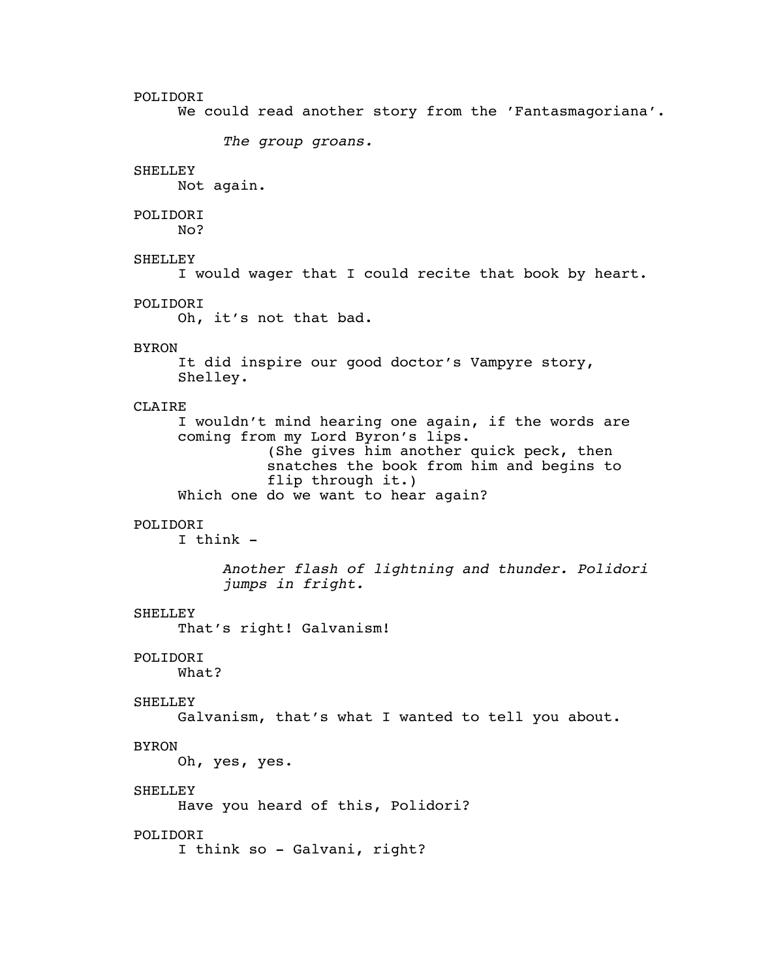# POLIDORI

We could read another story from the 'Fantasmagoriana'.

*The group groans.*

# SHELLEY

Not again.

# POLIDORI

No?

# SHELLEY

I would wager that I could recite that book by heart.

#### POLIDORI

Oh, it's not that bad.

# BYRON

It did inspire our good doctor's Vampyre story, Shelley.

#### CLAIRE

I wouldn't mind hearing one again, if the words are coming from my Lord Byron's lips. (She gives him another quick peck, then snatches the book from him and begins to flip through it.) Which one do we want to hear again?

#### POLIDORI

 $I$  think  $-$ 

*Another flash of lightning and thunder. Polidori jumps in fright.*

#### SHELLEY

That's right! Galvanism!

#### POLIDORI

What?

# SHELLEY

Galvanism, that's what I wanted to tell you about.

# BYRON

Oh, yes, yes.

# **SHELLEY**

Have you heard of this, Polidori?

#### POLIDORI

I think so - Galvani, right?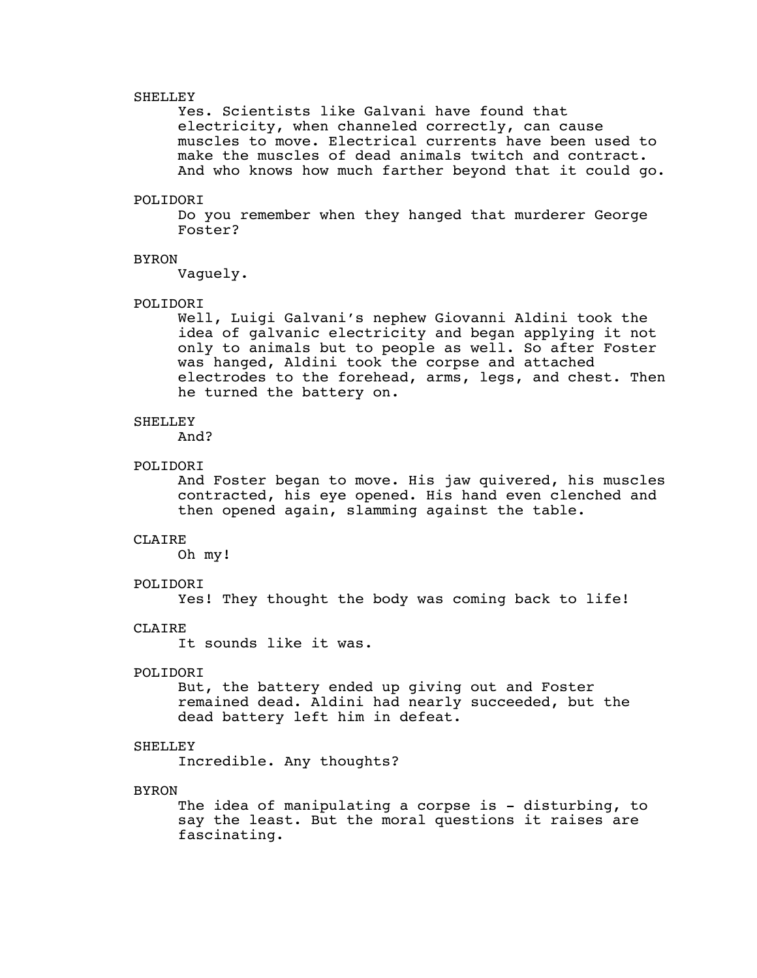#### SHELLEY

Yes. Scientists like Galvani have found that electricity, when channeled correctly, can cause muscles to move. Electrical currents have been used to make the muscles of dead animals twitch and contract. And who knows how much farther beyond that it could go.

#### POLIDORI

Do you remember when they hanged that murderer George Foster?

#### BYRON

Vaguely.

#### POLIDORI

Well, Luigi Galvani's nephew Giovanni Aldini took the idea of galvanic electricity and began applying it not only to animals but to people as well. So after Foster was hanged, Aldini took the corpse and attached electrodes to the forehead, arms, legs, and chest. Then he turned the battery on.

# **SHELLEY**

And?

#### POLIDORI

And Foster began to move. His jaw quivered, his muscles contracted, his eye opened. His hand even clenched and then opened again, slamming against the table.

#### CLAIRE

Oh my!

# POLIDORI

Yes! They thought the body was coming back to life!

#### CLAIRE

It sounds like it was.

# POLIDORI

But, the battery ended up giving out and Foster remained dead. Aldini had nearly succeeded, but the dead battery left him in defeat.

# SHELLEY

Incredible. Any thoughts?

# **BYRON**

The idea of manipulating a corpse is - disturbing, to say the least. But the moral questions it raises are fascinating.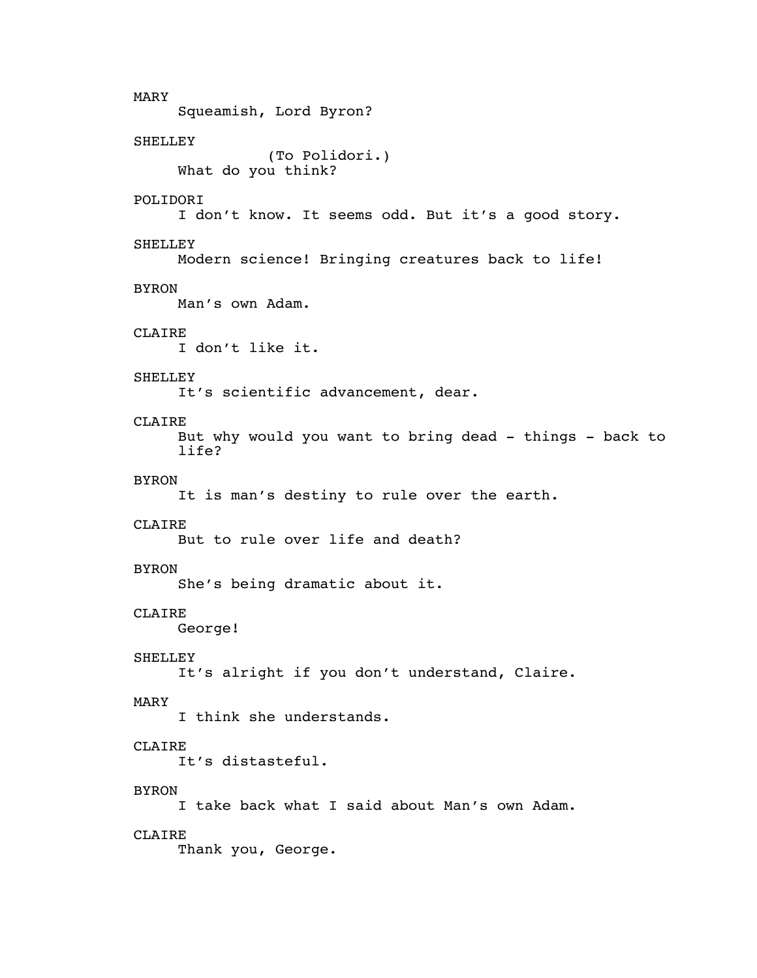MARY Squeamish, Lord Byron? SHELLEY (To Polidori.) What do you think? POLIDORI I don't know. It seems odd. But it's a good story. SHELLEY Modern science! Bringing creatures back to life! BYRON Man's own Adam. CLAIRE I don't like it. **SHELLEY** It's scientific advancement, dear. CLAIRE But why would you want to bring dead - things - back to life? BYRON It is man's destiny to rule over the earth. CLAIRE But to rule over life and death? BYRON She's being dramatic about it. CLAIRE George! SHELLEY It's alright if you don't understand, Claire. MARY I think she understands. CLAIRE It's distasteful. **BYRON** I take back what I said about Man's own Adam. CLAIRE Thank you, George.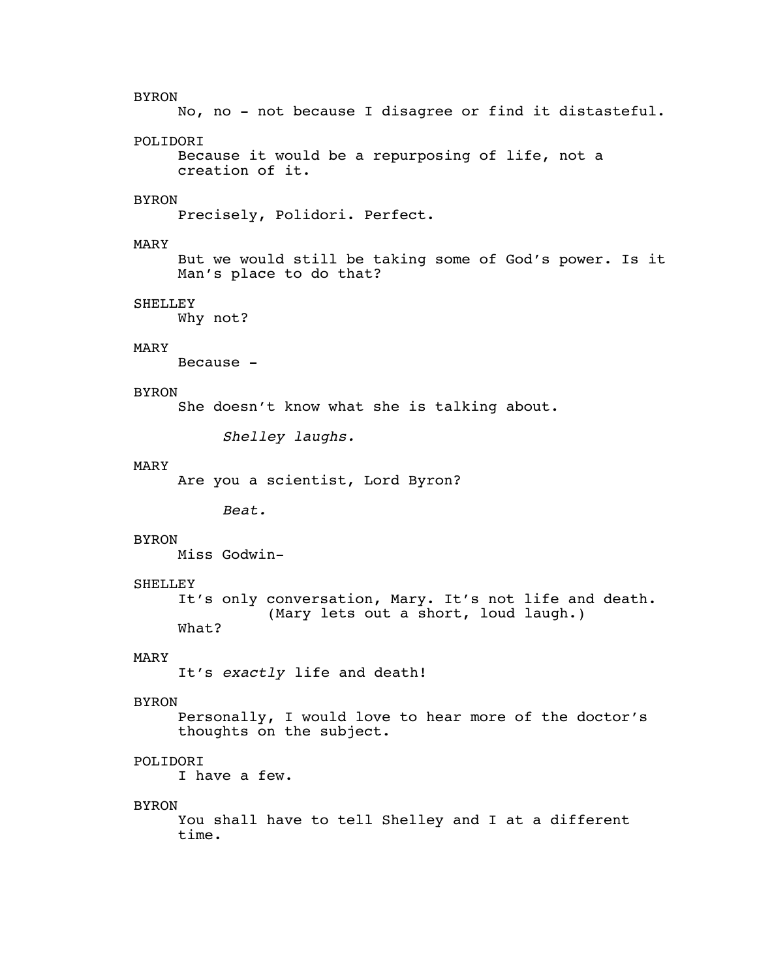#### BYRON

No, no - not because I disagree or find it distasteful.

# POLIDORI

```
Because it would be a repurposing of life, not a
creation of it.
```
# **BYRON**

Precisely, Polidori. Perfect.

# MARY

But we would still be taking some of God's power. Is it Man's place to do that?

# SHELLEY

Why not?

# MARY

Because -

# **BYRON**

She doesn't know what she is talking about.

*Shelley laughs.*

#### MARY

Are you a scientist, Lord Byron?

*Beat.*

#### **BYRON**

Miss Godwin-

# **SHELLEY**

It's only conversation, Mary. It's not life and death. (Mary lets out a short, loud laugh.) What?

# MARY

It's *exactly* life and death!

# BYRON

Personally, I would love to hear more of the doctor's thoughts on the subject.

# POLIDORI

I have a few.

#### BYRON

You shall have to tell Shelley and I at a different time.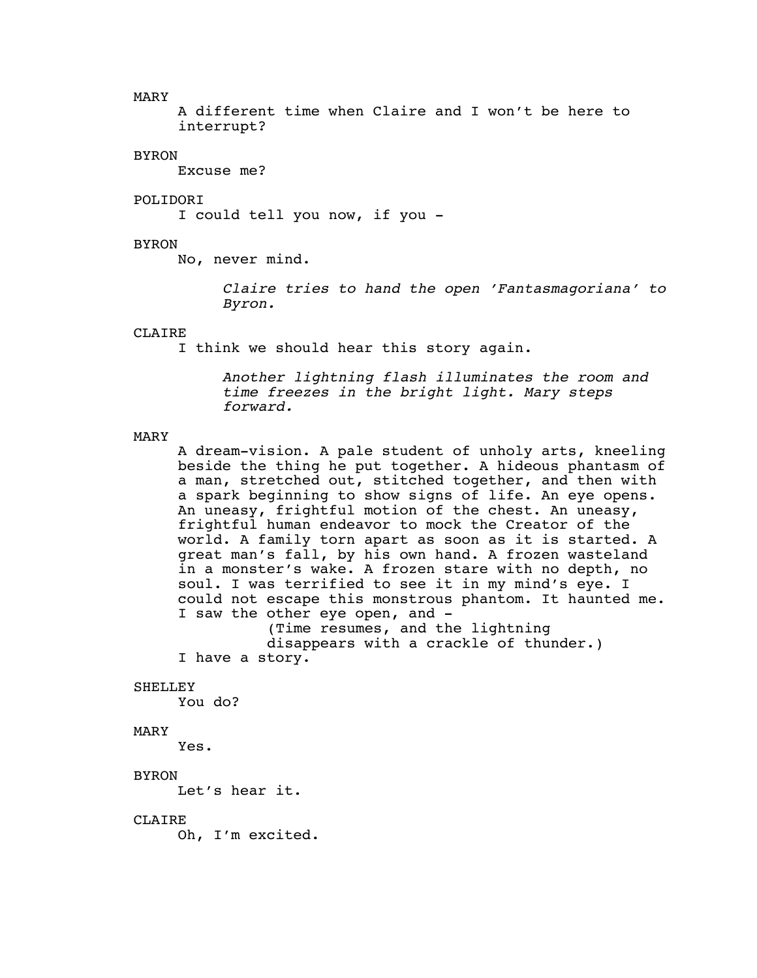MARY

A different time when Claire and I won't be here to interrupt?

#### BYRON

Excuse me?

#### POLIDORI

I could tell you now, if you -

#### BYRON

No, never mind.

*Claire tries to hand the open 'Fantasmagoriana' to Byron.*

# CLAIRE

I think we should hear this story again.

*Another lightning flash illuminates the room and time freezes in the bright light. Mary steps forward.*

#### MARY

A dream-vision. A pale student of unholy arts, kneeling beside the thing he put together. A hideous phantasm of a man, stretched out, stitched together, and then with a spark beginning to show signs of life. An eye opens. An uneasy, frightful motion of the chest. An uneasy, frightful human endeavor to mock the Creator of the world. A family torn apart as soon as it is started. A great man's fall, by his own hand. A frozen wasteland in a monster's wake. A frozen stare with no depth, no soul. I was terrified to see it in my mind's eye. I could not escape this monstrous phantom. It haunted me. I saw the other eye open, and -

(Time resumes, and the lightning disappears with a crackle of thunder.)

```
I have a story.
```
# **SHELLEY**

You do?

# MARY

Yes.

# BYRON

Let's hear it.

# CLAIRE

Oh, I'm excited.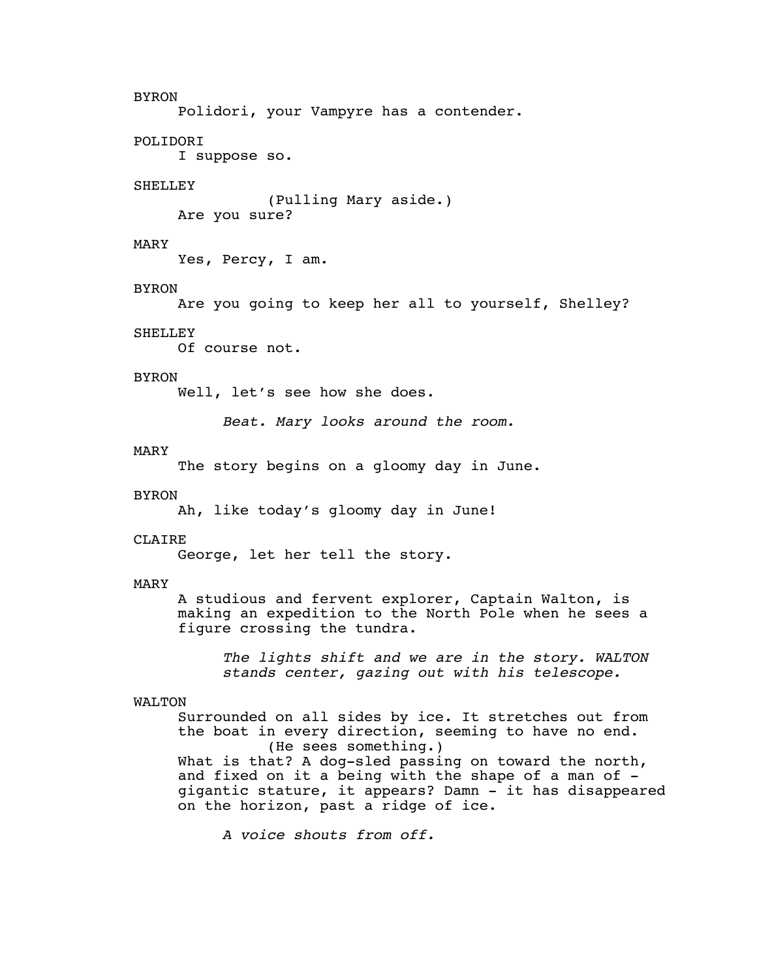#### BYRON

Polidori, your Vampyre has a contender.

# POLIDORI

I suppose so.

# **SHELLEY**

(Pulling Mary aside.) Are you sure?

#### MARY

Yes, Percy, I am.

#### BYRON

Are you going to keep her all to yourself, Shelley?

#### **SHELLEY**

Of course not.

# BYRON

Well, let's see how she does.

*Beat. Mary looks around the room.*

# MARY

The story begins on a gloomy day in June.

#### BYRON

Ah, like today's gloomy day in June!

#### **CLAIRE**

George, let her tell the story.

#### MARY

A studious and fervent explorer, Captain Walton, is making an expedition to the North Pole when he sees a figure crossing the tundra.

*The lights shift and we are in the story. WALTON stands center, gazing out with his telescope.*

# WALTON

Surrounded on all sides by ice. It stretches out from the boat in every direction, seeming to have no end. (He sees something.)

What is that? A dog-sled passing on toward the north, and fixed on it a being with the shape of a man of gigantic stature, it appears? Damn - it has disappeared on the horizon, past a ridge of ice.

*A voice shouts from off.*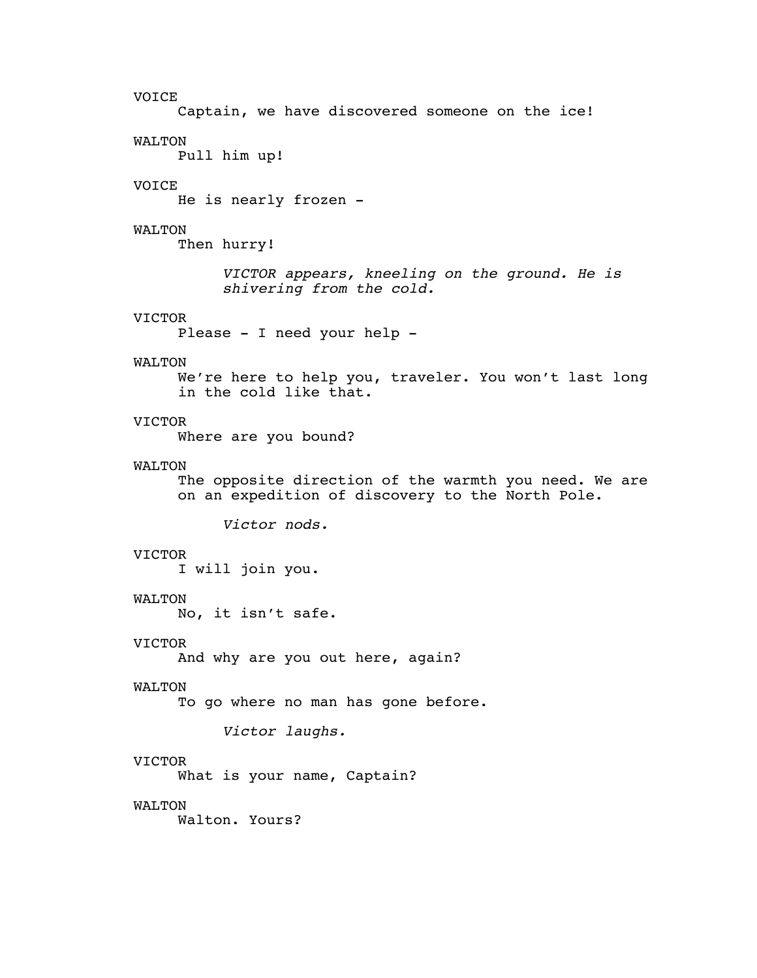# VOICE

Captain, we have discovered someone on the ice!

#### WALTON

Pull him up!

# VOICE

He is nearly frozen -

#### WALTON

Then hurry!

*VICTOR appears, kneeling on the ground. He is shivering from the cold.*

# VICTOR

Please - I need your help -

#### WALTON

We're here to help you, traveler. You won't last long in the cold like that.

# VICTOR

Where are you bound?

#### WALTON

The opposite direction of the warmth you need. We are on an expedition of discovery to the North Pole.

*Victor nods.*

# VICTOR

I will join you.

# WALTON

No, it isn't safe.

# VICTOR

And why are you out here, again?

# WALTON

To go where no man has gone before.

*Victor laughs.*

# VICTOR

What is your name, Captain?

# WALTON

Walton. Yours?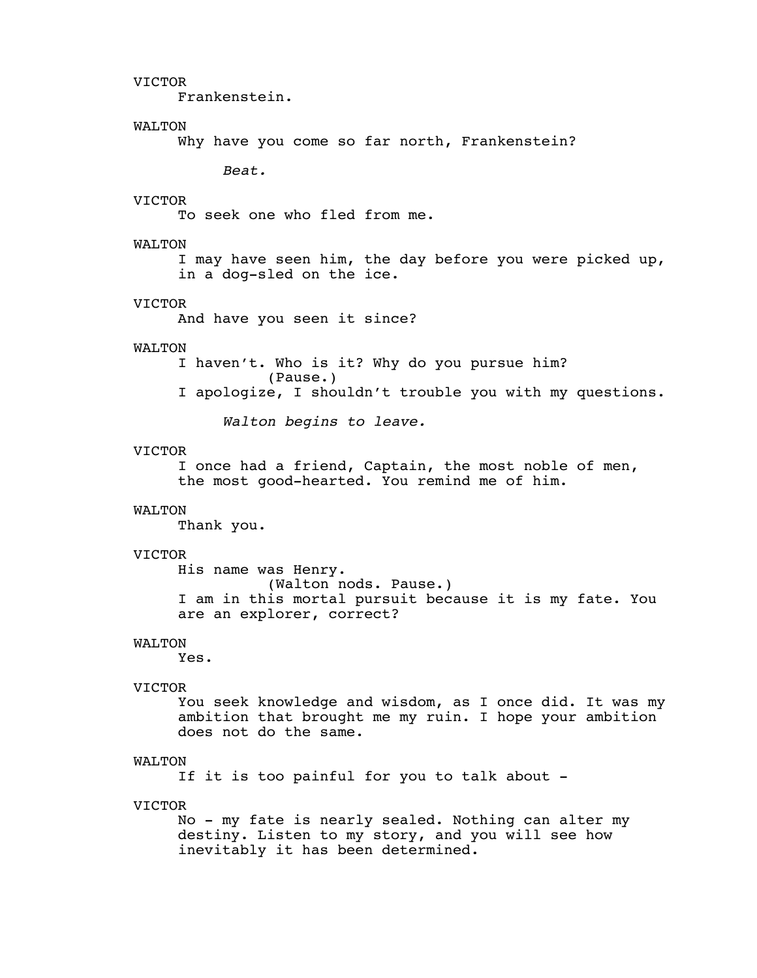Frankenstein.

# WALTON

Why have you come so far north, Frankenstein?

*Beat.*

# VICTOR

To seek one who fled from me.

#### WALTON

I may have seen him, the day before you were picked up, in a dog-sled on the ice.

#### VICTOR

And have you seen it since?

# WALTON

I haven't. Who is it? Why do you pursue him? (Pause.)

I apologize, I shouldn't trouble you with my questions.

*Walton begins to leave.*

# VICTOR

I once had a friend, Captain, the most noble of men, the most good-hearted. You remind me of him.

#### WALTON

Thank you.

# VICTOR

His name was Henry. (Walton nods. Pause.) I am in this mortal pursuit because it is my fate. You are an explorer, correct?

# WALTON

Yes.

# VICTOR

You seek knowledge and wisdom, as I once did. It was my ambition that brought me my ruin. I hope your ambition does not do the same.

# WALTON

If it is too painful for you to talk about -

#### VICTOR

No - my fate is nearly sealed. Nothing can alter my destiny. Listen to my story, and you will see how inevitably it has been determined.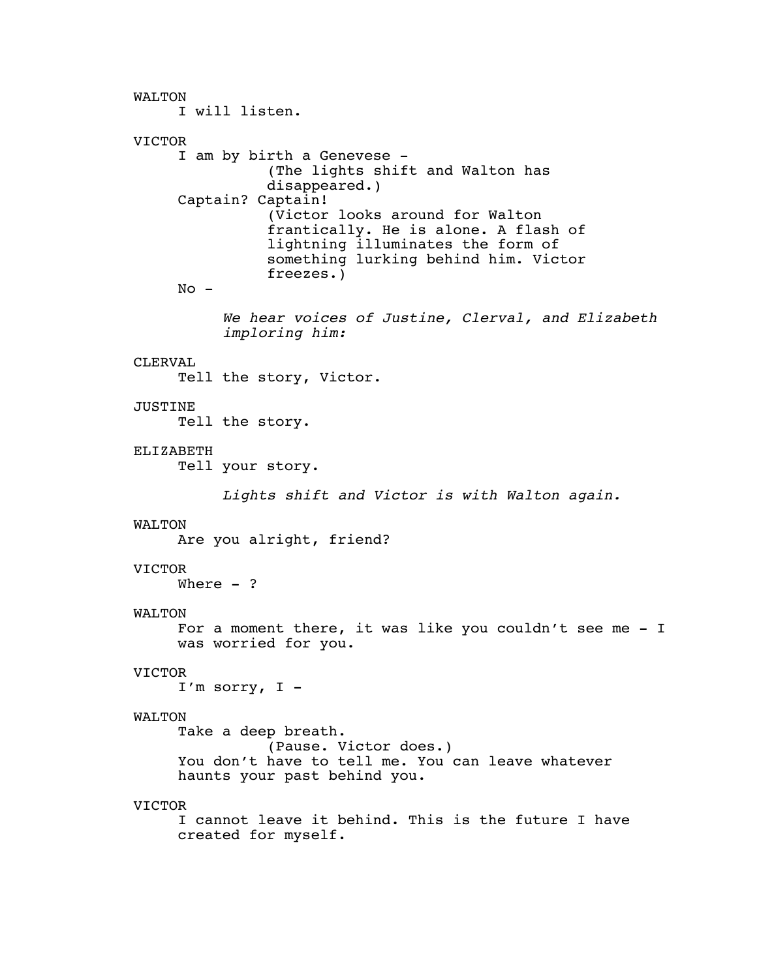WALTON I will listen. VICTOR I am by birth a Genevese - (The lights shift and Walton has disappeared.) Captain? Captain! (Victor looks around for Walton frantically. He is alone. A flash of lightning illuminates the form of something lurking behind him. Victor freezes.)  $No -$ *We hear voices of Justine, Clerval, and Elizabeth imploring him:* CLERVAL Tell the story, Victor. JUSTINE Tell the story. ELIZABETH Tell your story. *Lights shift and Victor is with Walton again.* WALTON Are you alright, friend? VICTOR Where  $-$  ? WALTON For a moment there, it was like you couldn't see me - I was worried for you. VICTOR I'm sorry, I - WALTON Take a deep breath. (Pause. Victor does.) You don't have to tell me. You can leave whatever haunts your past behind you. VICTOR I cannot leave it behind. This is the future I have created for myself.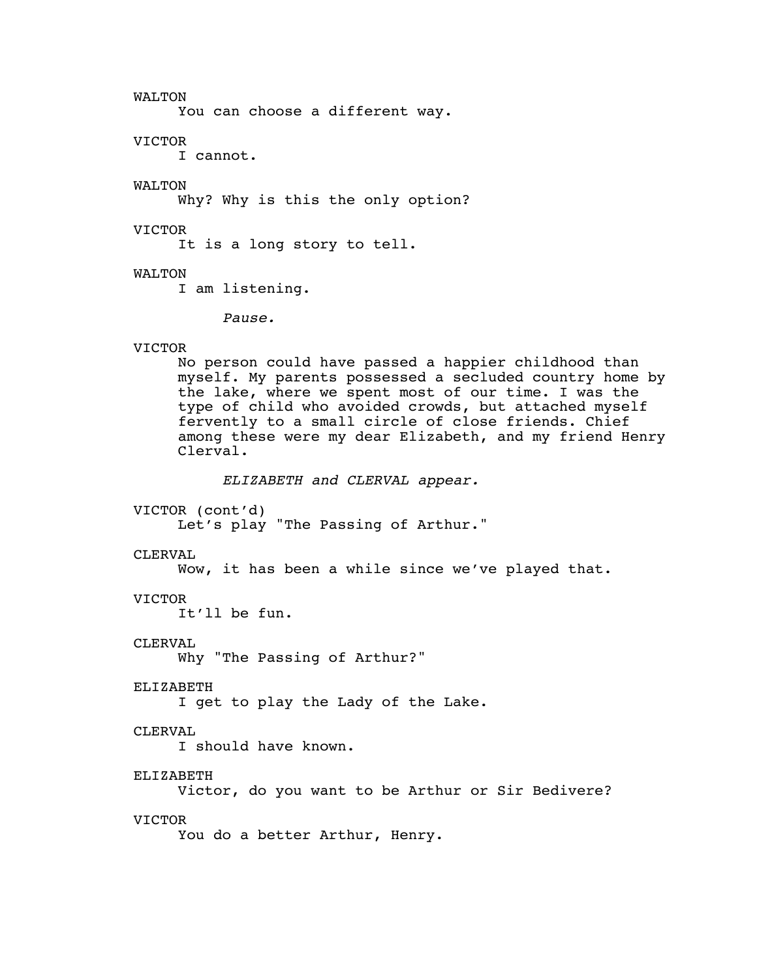WALTON

You can choose a different way.

VICTOR

I cannot.

WALTON

Why? Why is this the only option?

VICTOR

It is a long story to tell.

WALTON

I am listening.

*Pause.*

VICTOR

No person could have passed a happier childhood than myself. My parents possessed a secluded country home by the lake, where we spent most of our time. I was the type of child who avoided crowds, but attached myself fervently to a small circle of close friends. Chief among these were my dear Elizabeth, and my friend Henry Clerval.

*ELIZABETH and CLERVAL appear.*

VICTOR (cont'd)

Let's play "The Passing of Arthur."

CLERVAL

Wow, it has been a while since we've played that.

VICTOR

It'll be fun.

CLERVAL

Why "The Passing of Arthur?"

ELIZABETH

I get to play the Lady of the Lake.

CLERVAL

I should have known.

ELIZABETH

Victor, do you want to be Arthur or Sir Bedivere?

VICTOR

You do a better Arthur, Henry.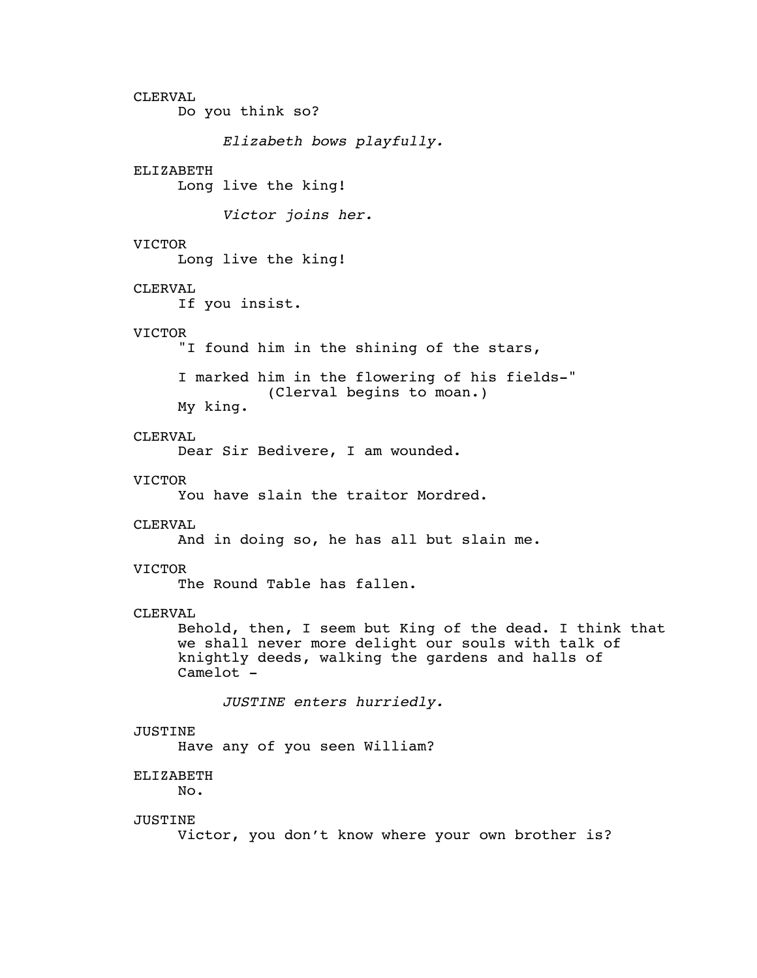CLERVAL Do you think so? *Elizabeth bows playfully.* ELIZABETH Long live the king! *Victor joins her.* VICTOR Long live the king! CLERVAL If you insist. VICTOR "I found him in the shining of the stars, I marked him in the flowering of his fields-" (Clerval begins to moan.) My king. CLERVAL Dear Sir Bedivere, I am wounded. VICTOR You have slain the traitor Mordred. CLERVAL And in doing so, he has all but slain me. VICTOR The Round Table has fallen. CLERVAL Behold, then, I seem but King of the dead. I think that we shall never more delight our souls with talk of knightly deeds, walking the gardens and halls of Camelot - *JUSTINE enters hurriedly.* JUSTINE Have any of you seen William? ELIZABETH No. JUSTINE Victor, you don't know where your own brother is?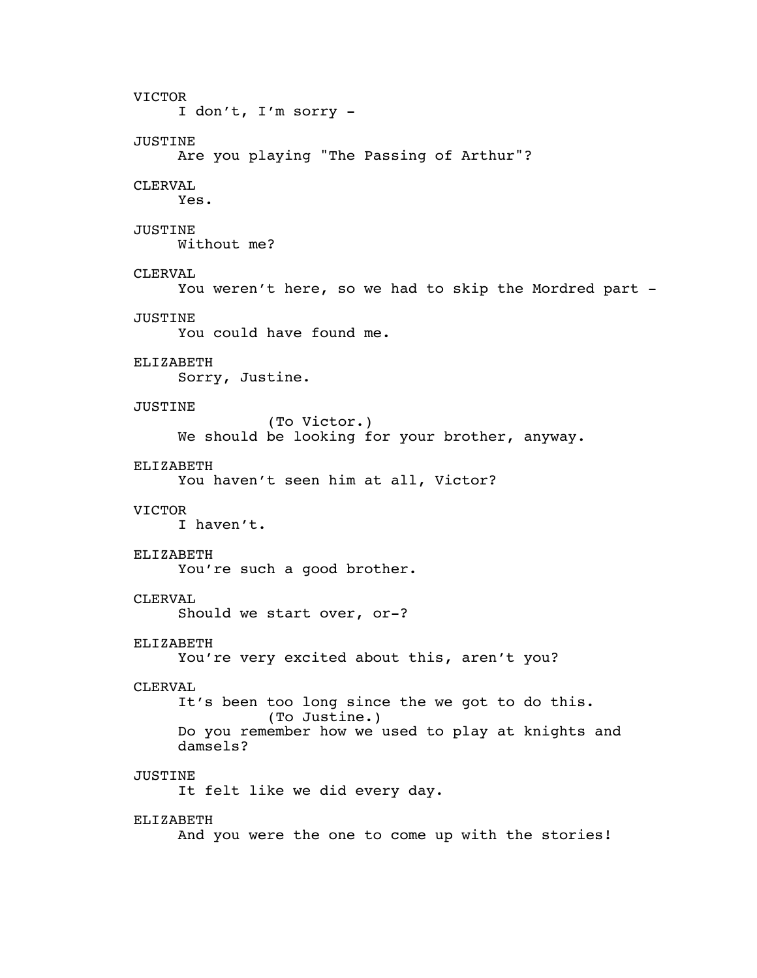VICTOR I don't, I'm sorry - JUSTINE Are you playing "The Passing of Arthur"? CLERVAL Yes. JUSTINE Without me? CLERVAL You weren't here, so we had to skip the Mordred part -JUSTINE You could have found me. ELIZABETH Sorry, Justine. JUSTINE (To Victor.) We should be looking for your brother, anyway. ELIZABETH You haven't seen him at all, Victor? VICTOR I haven't. ELIZABETH You're such a good brother. CLERVAL Should we start over, or-? ELIZABETH You're very excited about this, aren't you? CLERVAL It's been too long since the we got to do this. (To Justine.) Do you remember how we used to play at knights and damsels? JUSTINE It felt like we did every day. ELIZABETH And you were the one to come up with the stories!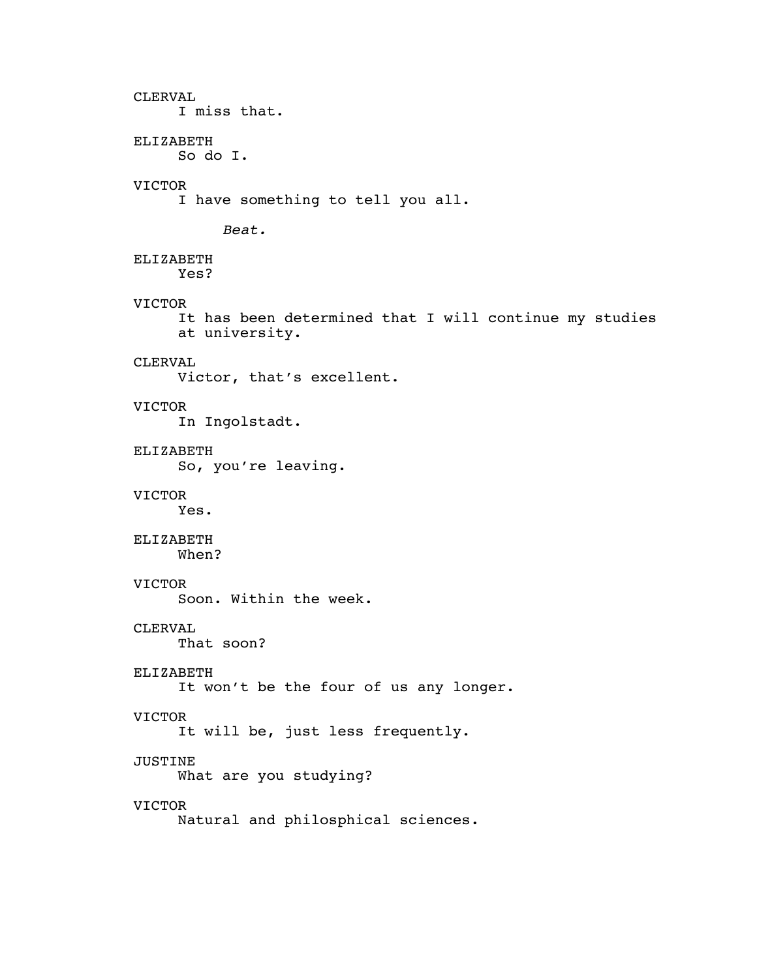# CLERVAL I miss that. ELIZABETH So do I. VICTOR I have something to tell you all. *Beat.* ELIZABETH Yes? VICTOR It has been determined that I will continue my studies at university. CLERVAL Victor, that's excellent. VICTOR In Ingolstadt. ELIZABETH So, you're leaving. VICTOR Yes. ELIZABETH When? VICTOR Soon. Within the week. CLERVAL That soon? ELIZABETH It won't be the four of us any longer. VICTOR It will be, just less frequently. JUSTINE What are you studying? VICTOR Natural and philosphical sciences.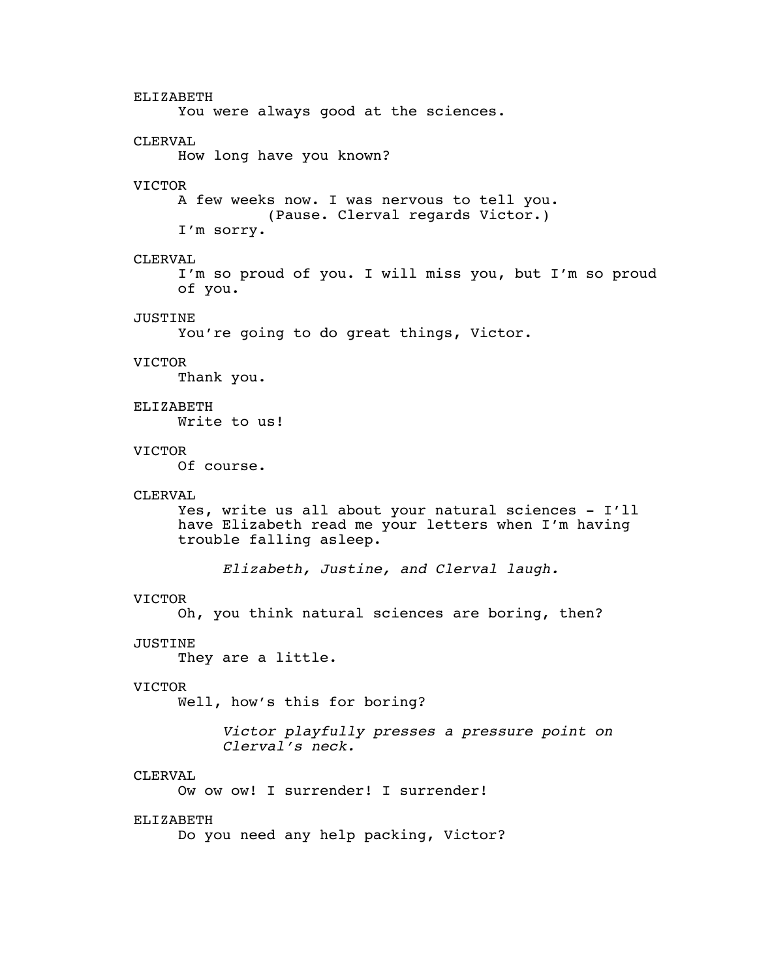ELIZABETH You were always good at the sciences. CLERVAL How long have you known? VICTOR A few weeks now. I was nervous to tell you. (Pause. Clerval regards Victor.) I'm sorry. CLERVAL I'm so proud of you. I will miss you, but I'm so proud of you. JUSTINE You're going to do great things, Victor. VICTOR Thank you. ELIZABETH Write to us! VICTOR Of course. CLERVAL Yes, write us all about your natural sciences - I'll have Elizabeth read me your letters when I'm having trouble falling asleep. *Elizabeth, Justine, and Clerval laugh.* VICTOR Oh, you think natural sciences are boring, then? JUSTINE They are a little. VICTOR Well, how's this for boring? *Victor playfully presses a pressure point on Clerval's neck.* CLERVAL Ow ow ow! I surrender! I surrender! ELIZABETH Do you need any help packing, Victor?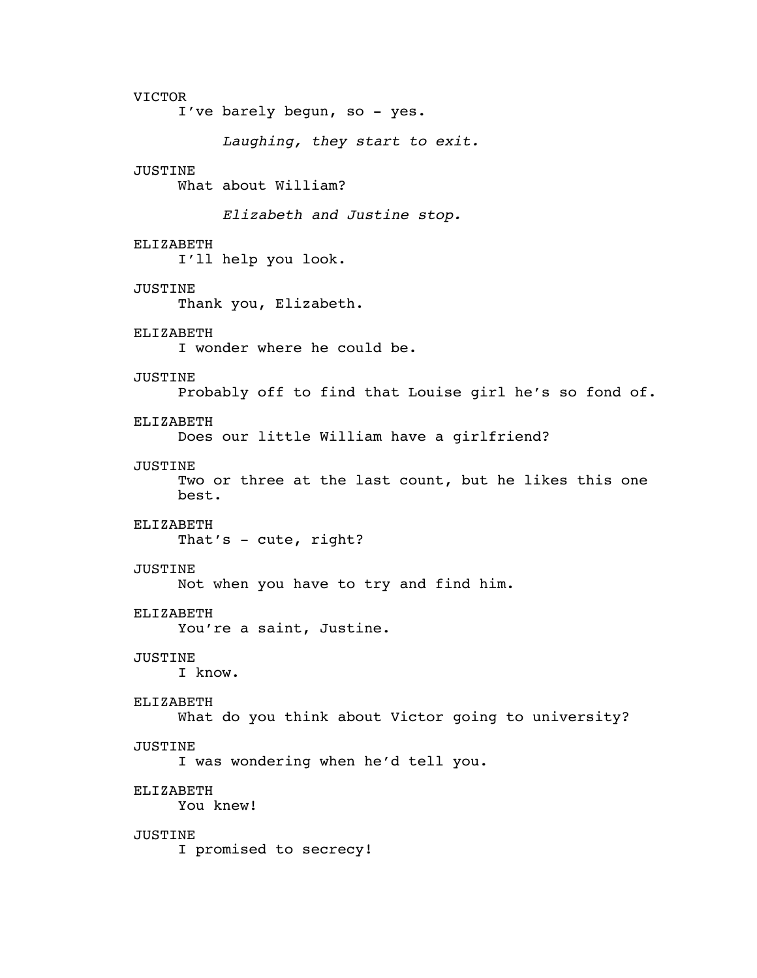VICTOR I've barely begun, so - yes. *Laughing, they start to exit.* JUSTINE What about William? *Elizabeth and Justine stop.* ELIZABETH I'll help you look. JUSTINE Thank you, Elizabeth. ELIZABETH I wonder where he could be. JUSTINE Probably off to find that Louise girl he's so fond of. ELIZABETH Does our little William have a girlfriend? JUSTINE Two or three at the last count, but he likes this one best. ELIZABETH That's - cute, right? JUSTINE Not when you have to try and find him. ELIZABETH You're a saint, Justine. JUSTINE I know. ELIZABETH What do you think about Victor going to university? JUSTINE I was wondering when he'd tell you. ELIZABETH You knew! JUSTINE I promised to secrecy!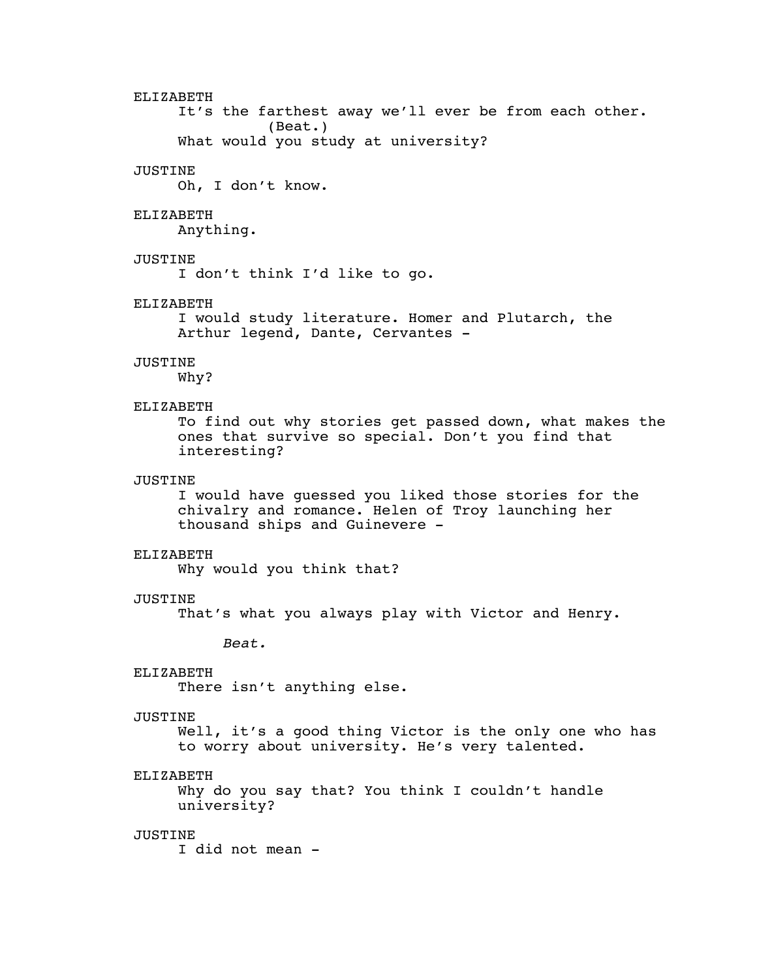ELIZABETH It's the farthest away we'll ever be from each other. (Beat.) What would you study at university? JUSTINE Oh, I don't know. ELIZABETH Anything. JUSTINE I don't think I'd like to go. ELIZABETH I would study literature. Homer and Plutarch, the Arthur legend, Dante, Cervantes - JUSTINE Why? ELIZABETH To find out why stories get passed down, what makes the ones that survive so special. Don't you find that interesting? JUSTINE I would have guessed you liked those stories for the chivalry and romance. Helen of Troy launching her thousand ships and Guinevere - ELIZABETH Why would you think that? JUSTINE That's what you always play with Victor and Henry. *Beat.* ELIZABETH There isn't anything else. JUSTINE Well, it's a good thing Victor is the only one who has to worry about university. He's very talented. ELIZABETH Why do you say that? You think I couldn't handle university? JUSTINE I did not mean -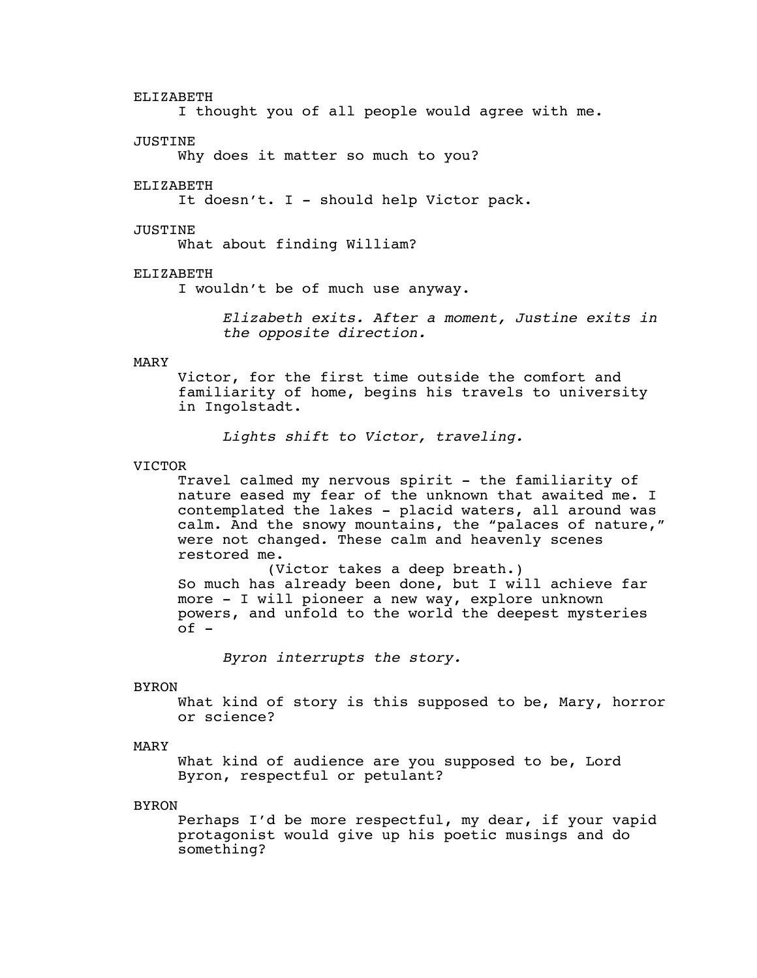#### ELIZABETH

I thought you of all people would agree with me.

#### **JUSTINE**

Why does it matter so much to you?

#### ELIZABETH

It doesn't. I - should help Victor pack.

#### JUSTINE

What about finding William?

# ELIZABETH

I wouldn't be of much use anyway.

*Elizabeth exits. After a moment, Justine exits in the opposite direction.*

#### MARY

Victor, for the first time outside the comfort and familiarity of home, begins his travels to university in Ingolstadt.

*Lights shift to Victor, traveling.*

#### VICTOR

Travel calmed my nervous spirit - the familiarity of nature eased my fear of the unknown that awaited me. I contemplated the lakes - placid waters, all around was calm. And the snowy mountains, the "palaces of nature," were not changed. These calm and heavenly scenes restored me.

(Victor takes a deep breath.) So much has already been done, but I will achieve far more - I will pioneer a new way, explore unknown powers, and unfold to the world the deepest mysteries  $of -$ 

*Byron interrupts the story.*

#### BYRON

What kind of story is this supposed to be, Mary, horror or science?

# MARY

What kind of audience are you supposed to be, Lord Byron, respectful or petulant?

#### **BYRON**

Perhaps I'd be more respectful, my dear, if your vapid protagonist would give up his poetic musings and do something?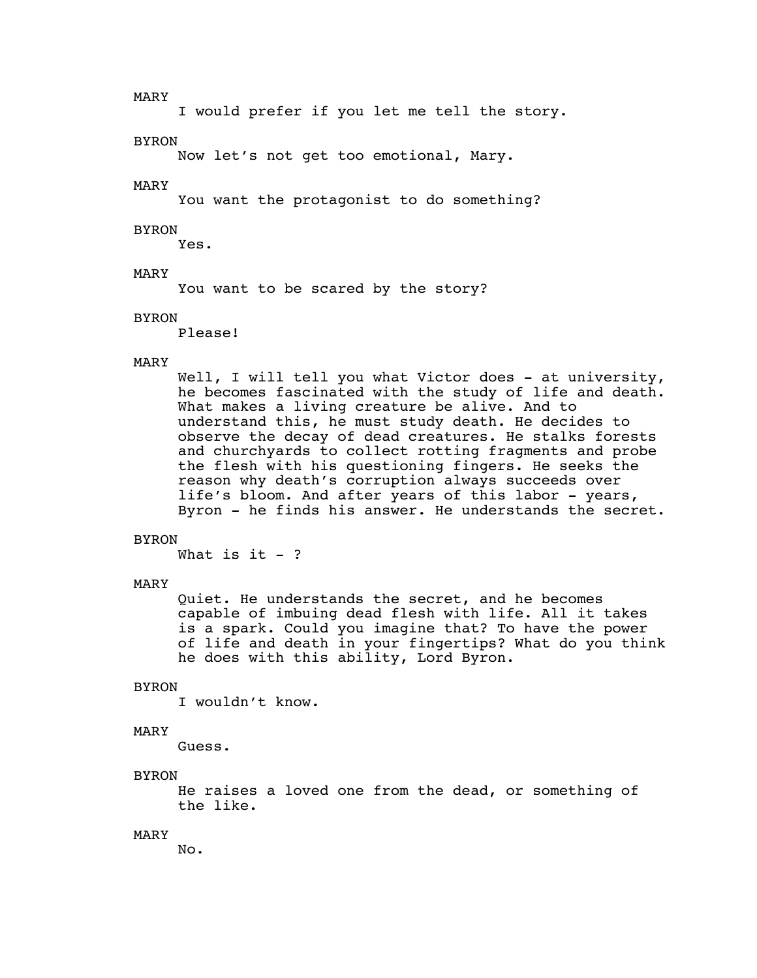MARY

I would prefer if you let me tell the story.

**BYRON** 

Now let's not get too emotional, Mary.

MARY

You want the protagonist to do something?

#### BYRON

Yes.

# MARY

You want to be scared by the story?

#### BYRON

Please!

#### MARY

Well, I will tell you what Victor does - at university, he becomes fascinated with the study of life and death. What makes a living creature be alive. And to understand this, he must study death. He decides to observe the decay of dead creatures. He stalks forests and churchyards to collect rotting fragments and probe the flesh with his questioning fingers. He seeks the reason why death's corruption always succeeds over life's bloom. And after years of this labor - years, Byron - he finds his answer. He understands the secret.

#### **BYRON**

What is it  $-$  ?

#### MARY

Quiet. He understands the secret, and he becomes capable of imbuing dead flesh with life. All it takes is a spark. Could you imagine that? To have the power of life and death in your fingertips? What do you think he does with this ability, Lord Byron.

#### BYRON

I wouldn't know.

#### MARY

Guess.

#### BYRON

He raises a loved one from the dead, or something of the like.

#### MARY

No.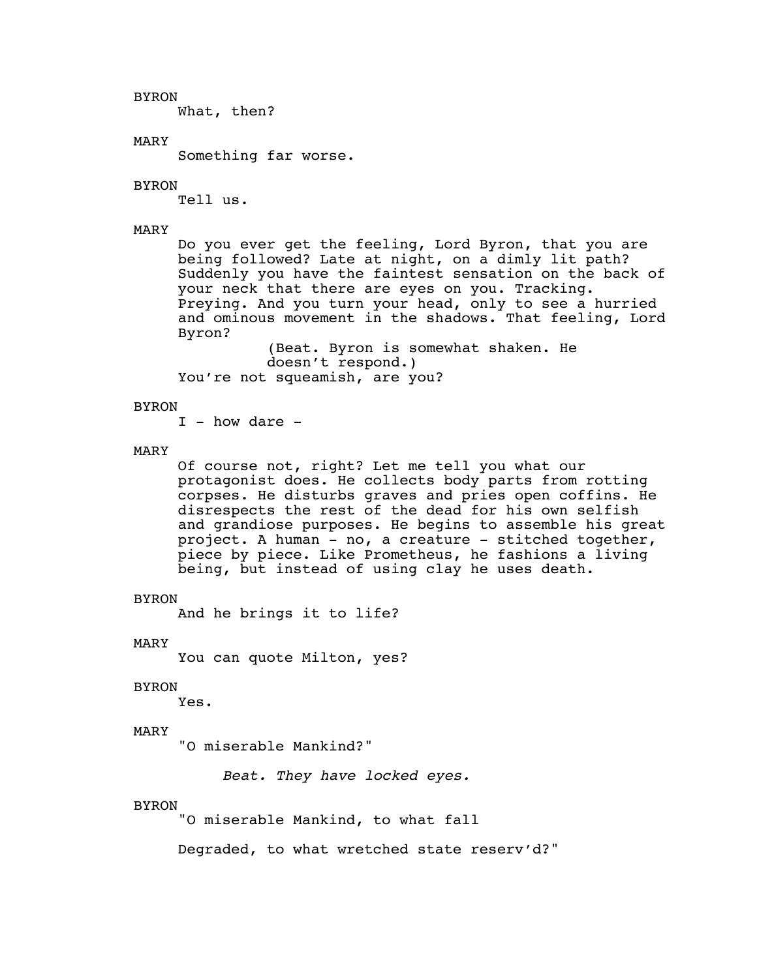BYRON

What, then?

# MARY

Something far worse.

#### BYRON

Tell us.

# MARY

Do you ever get the feeling, Lord Byron, that you are being followed? Late at night, on a dimly lit path? Suddenly you have the faintest sensation on the back of your neck that there are eyes on you. Tracking. Preying. And you turn your head, only to see a hurried and ominous movement in the shadows. That feeling, Lord Byron?

(Beat. Byron is somewhat shaken. He doesn't respond.) You're not squeamish, are you?

#### BYRON

 $I - how dare -$ 

# MARY

Of course not, right? Let me tell you what our protagonist does. He collects body parts from rotting corpses. He disturbs graves and pries open coffins. He disrespects the rest of the dead for his own selfish and grandiose purposes. He begins to assemble his great project. A human - no, a creature - stitched together, piece by piece. Like Prometheus, he fashions a living being, but instead of using clay he uses death.

#### BYRON

And he brings it to life?

MARY

You can quote Milton, yes?

# BYRON

Yes.

# MARY

"O miserable Mankind?"

*Beat. They have locked eyes.*

#### BYRON

"O miserable Mankind, to what fall

Degraded, to what wretched state reserv'd?"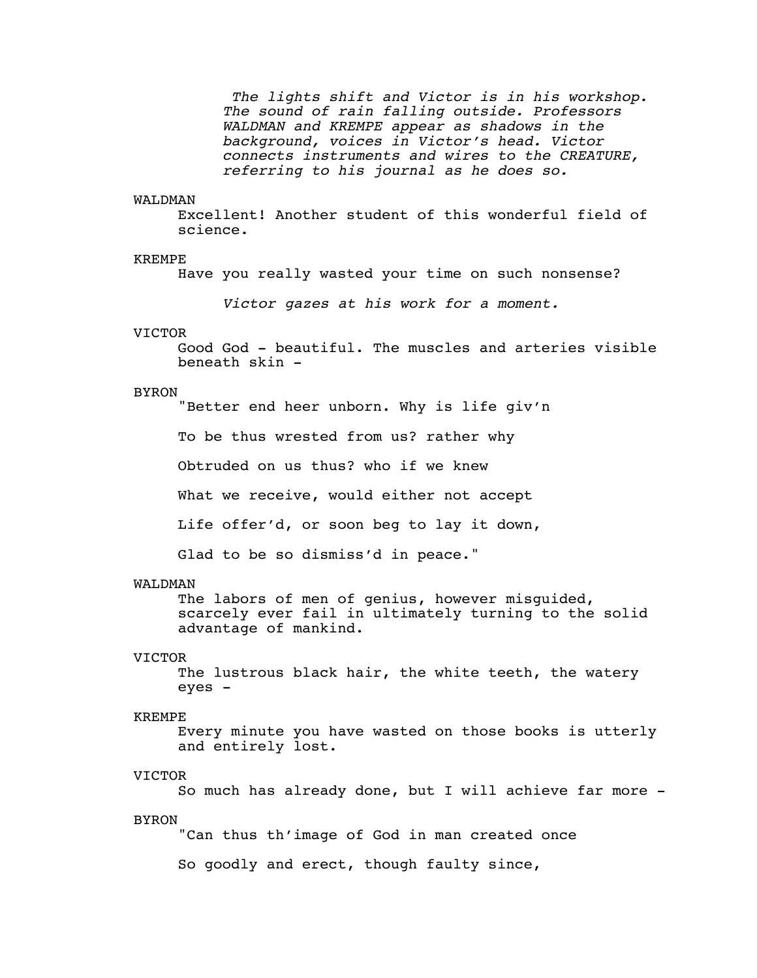*The lights shift and Victor is in his workshop. The sound of rain falling outside. Professors WALDMAN and KREMPE appear as shadows in the background, voices in Victor's head. Victor connects instruments and wires to the CREATURE, referring to his journal as he does so.*

#### WAT.DMAN

Excellent! Another student of this wonderful field of science.

#### KREMPE

Have you really wasted your time on such nonsense?

*Victor gazes at his work for a moment.*

#### VICTOR

Good God - beautiful. The muscles and arteries visible beneath skin -

#### BYRON

"Better end heer unborn. Why is life giv'n

To be thus wrested from us? rather why

Obtruded on us thus? who if we knew

What we receive, would either not accept

Life offer'd, or soon beg to lay it down,

Glad to be so dismiss'd in peace."

#### WALDMAN

The labors of men of genius, however misguided, scarcely ever fail in ultimately turning to the solid advantage of mankind.

#### VICTOR

The lustrous black hair, the white teeth, the watery eyes -

#### KREMPE

Every minute you have wasted on those books is utterly and entirely lost.

#### VICTOR

So much has already done, but I will achieve far more -

# BYRON

"Can thus th'image of God in man created once

So goodly and erect, though faulty since,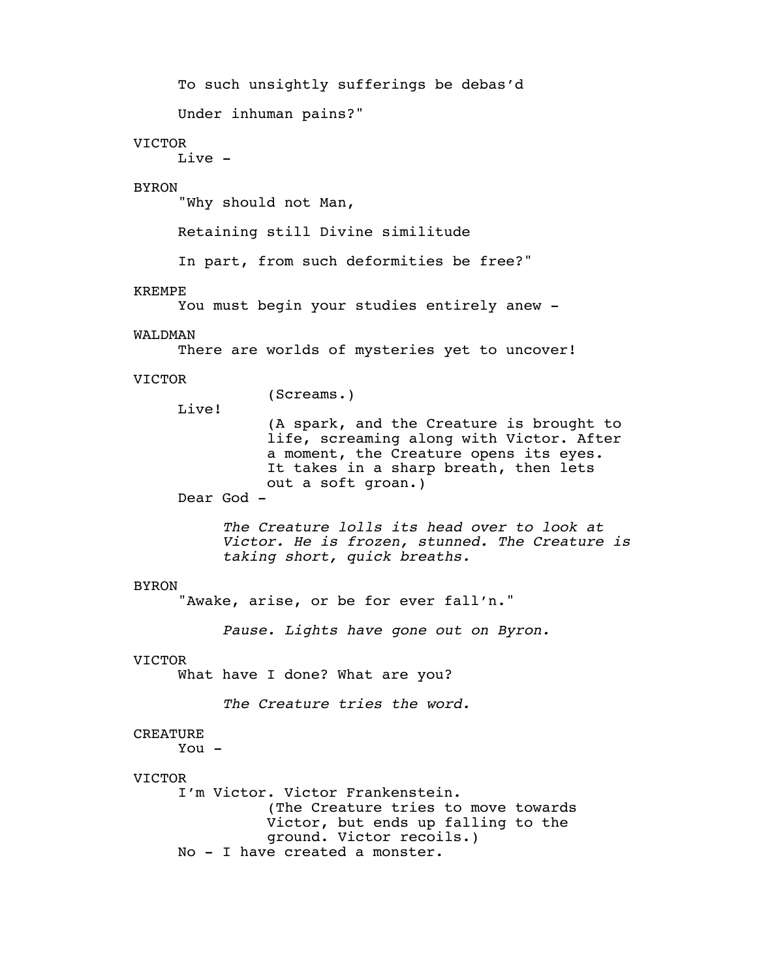To such unsightly sufferings be debas'd

Under inhuman pains?"

# VICTOR

Live -

# BYRON

"Why should not Man,

Retaining still Divine similitude

In part, from such deformities be free?"

#### KREMPE

You must begin your studies entirely anew -

#### WALDMAN

There are worlds of mysteries yet to uncover!

# VICTOR

(Screams.)

Live!

(A spark, and the Creature is brought to life, screaming along with Victor. After a moment, the Creature opens its eyes. It takes in a sharp breath, then lets out a soft groan.)

Dear God -

*The Creature lolls its head over to look at Victor. He is frozen, stunned. The Creature is taking short, quick breaths.*

#### BYRON

"Awake, arise, or be for ever fall'n."

*Pause. Lights have gone out on Byron.*

#### VICTOR

What have I done? What are you?

*The Creature tries the word.*

# CREATURE

You -

#### VICTOR

I'm Victor. Victor Frankenstein. (The Creature tries to move towards Victor, but ends up falling to the ground. Victor recoils.) No - I have created a monster.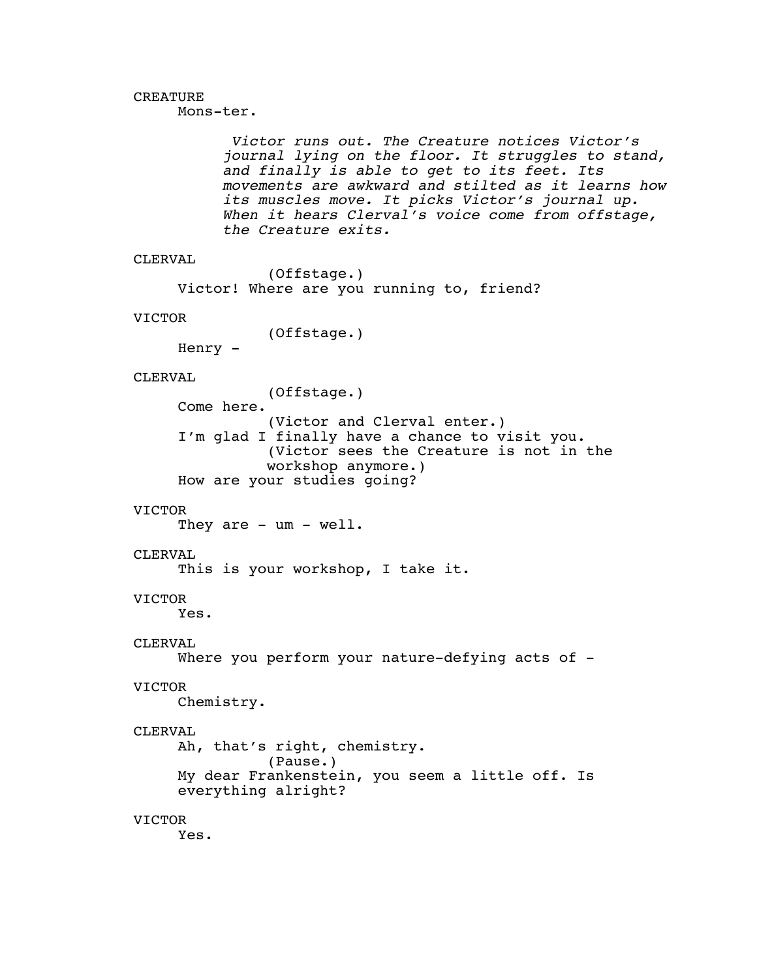# CREATURE

Mons-ter.

*Victor runs out. The Creature notices Victor's journal lying on the floor. It struggles to stand, and finally is able to get to its feet. Its movements are awkward and stilted as it learns how its muscles move. It picks Victor's journal up. When it hears Clerval's voice come from offstage, the Creature exits.*

```
CLERVAL
```
(Offstage.) Victor! Where are you running to, friend?

#### VICTOR

(Offstage.)

Henry -

# CLERVAL

(Offstage.)

Come here. (Victor and Clerval enter.) I'm glad I finally have a chance to visit you. (Victor sees the Creature is not in the workshop anymore.) How are your studies going?

#### VICTOR

They are - um - well.

# CLERVAL

This is your workshop, I take it.

# VICTOR

Yes.

# CLERVAL

```
Where you perform your nature-defying acts of -
```
#### VICTOR

Chemistry.

#### CLERVAL

Ah, that's right, chemistry. (Pause.) My dear Frankenstein, you seem a little off. Is everything alright?

# VICTOR

Yes.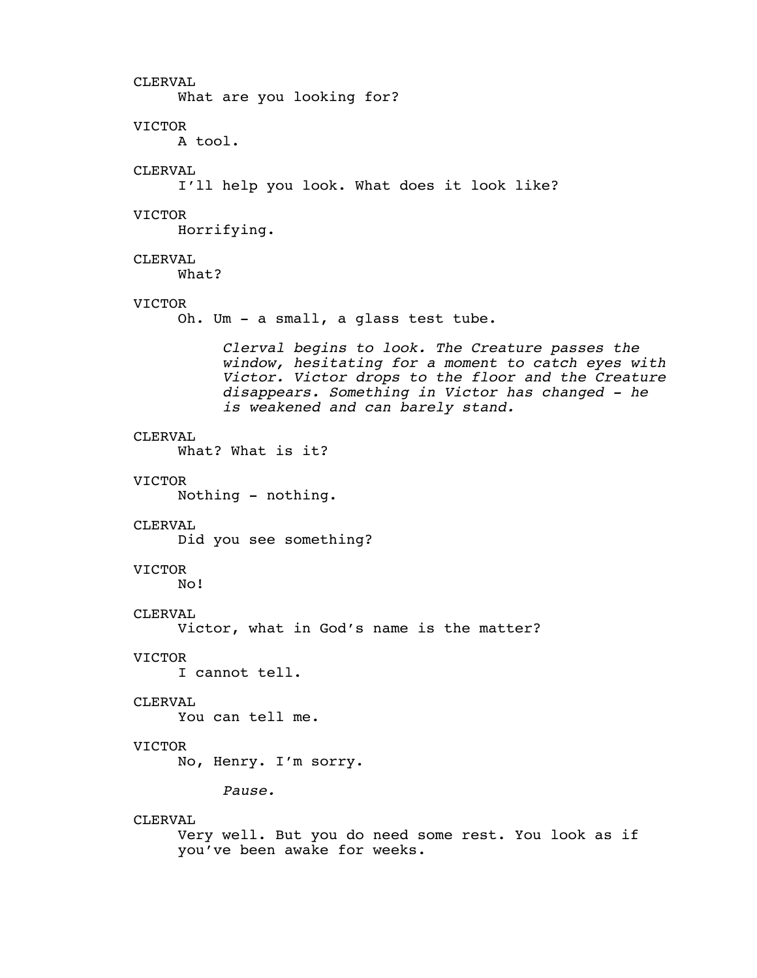CLERVAL What are you looking for? VICTOR A tool. CLERVAL I'll help you look. What does it look like? VICTOR Horrifying. CLERVAL What? VICTOR Oh. Um - a small, a glass test tube. *Clerval begins to look. The Creature passes the window, hesitating for a moment to catch eyes with Victor. Victor drops to the floor and the Creature disappears. Something in Victor has changed - he is weakened and can barely stand.* CLERVAL What? What is it? VICTOR Nothing - nothing. CLERVAL Did you see something? VICTOR No! CLERVAL Victor, what in God's name is the matter? VICTOR I cannot tell. CLERVAL You can tell me. VICTOR No, Henry. I'm sorry. *Pause.* CLERVAL Very well. But you do need some rest. You look as if you've been awake for weeks.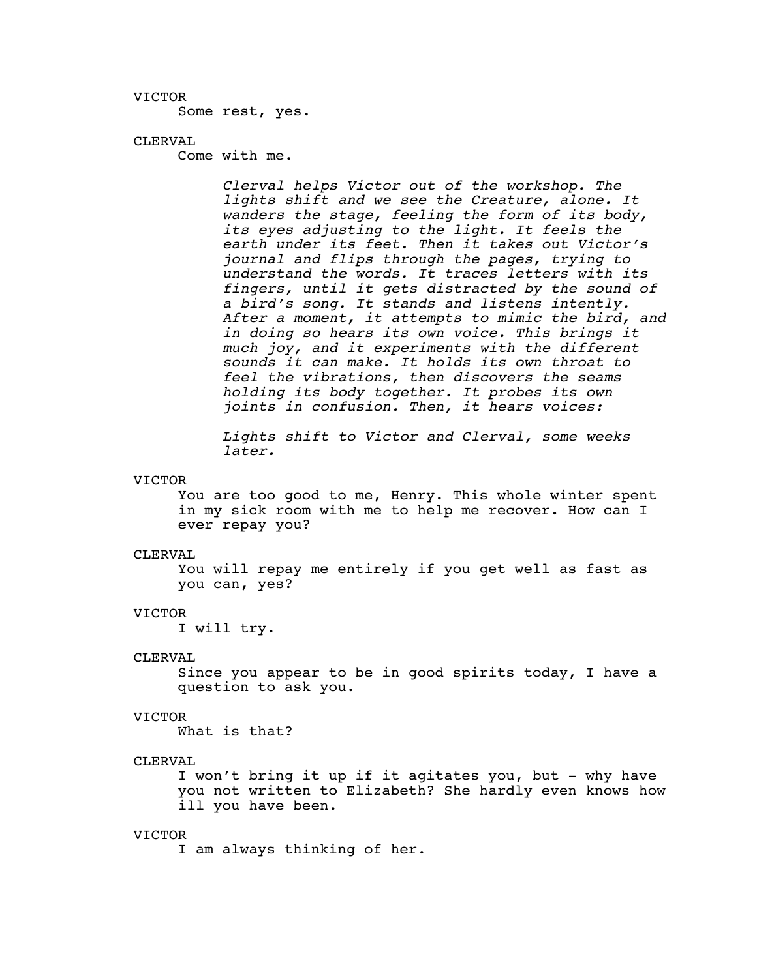Some rest, yes.

# CLERVAL

Come with me.

*Clerval helps Victor out of the workshop. The lights shift and we see the Creature, alone. It wanders the stage, feeling the form of its body, its eyes adjusting to the light. It feels the earth under its feet. Then it takes out Victor's journal and flips through the pages, trying to understand the words. It traces letters with its fingers, until it gets distracted by the sound of a bird's song. It stands and listens intently. After a moment, it attempts to mimic the bird, and in doing so hears its own voice. This brings it much joy, and it experiments with the different sounds it can make. It holds its own throat to feel the vibrations, then discovers the seams holding its body together. It probes its own joints in confusion. Then, it hears voices:*

*Lights shift to Victor and Clerval, some weeks later.*

#### VICTOR

You are too good to me, Henry. This whole winter spent in my sick room with me to help me recover. How can I ever repay you?

#### CLERVAL

You will repay me entirely if you get well as fast as you can, yes?

#### VICTOR

I will try.

#### CLERVAL

Since you appear to be in good spirits today, I have a question to ask you.

#### VICTOR

What is that?

# CLERVAL

I won't bring it up if it agitates you, but - why have you not written to Elizabeth? She hardly even knows how ill you have been.

#### VICTOR

I am always thinking of her.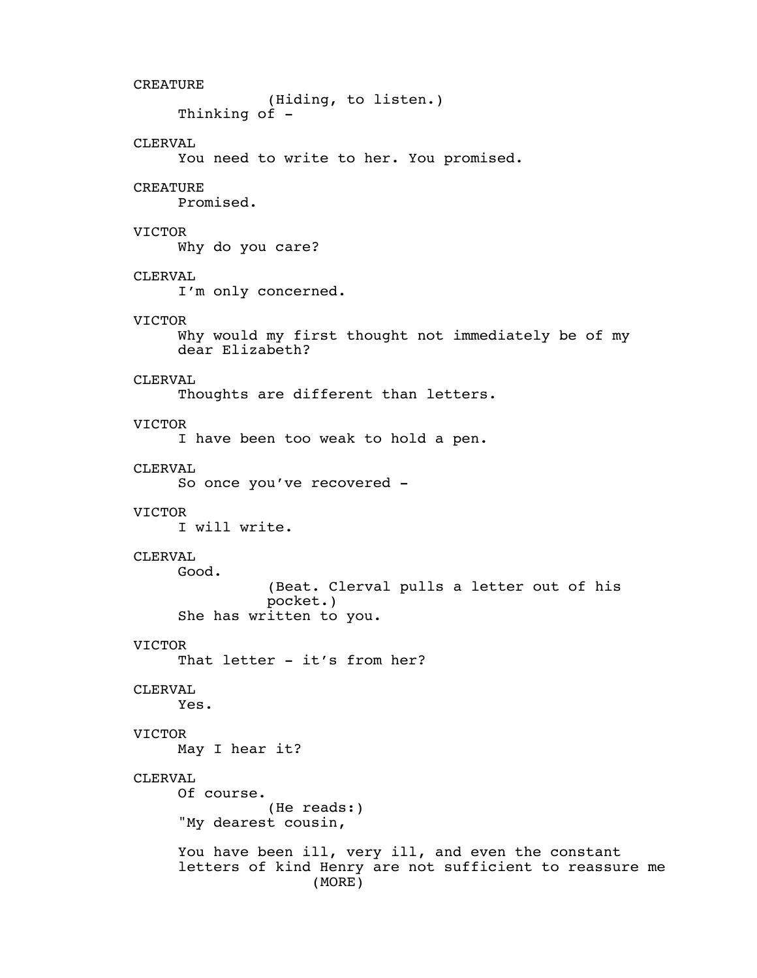```
CREATURE
               (Hiding, to listen.)
     Thinking of -CLERVAL
     You need to write to her. You promised.
CREATURE
     Promised.
VICTOR
     Why do you care?
CLERVAL
     I'm only concerned.
VICTOR
     Why would my first thought not immediately be of my
     dear Elizabeth?
CLERVAL
     Thoughts are different than letters.
VICTOR
     I have been too weak to hold a pen.
CLERVAL
     So once you've recovered -
VICTOR
     I will write.
CLERVAL
     Good.
               (Beat. Clerval pulls a letter out of his
               pocket.)
     She has written to you.
VICTOR
     That letter - it's from her?
CLERVAL
     Yes.
VICTOR
     May I hear it?
CLERVAL
     Of course.
               (He reads:)
     "My dearest cousin,
     You have been ill, very ill, and even the constant
     letters of kind Henry are not sufficient to reassure me
                    (MORE)
```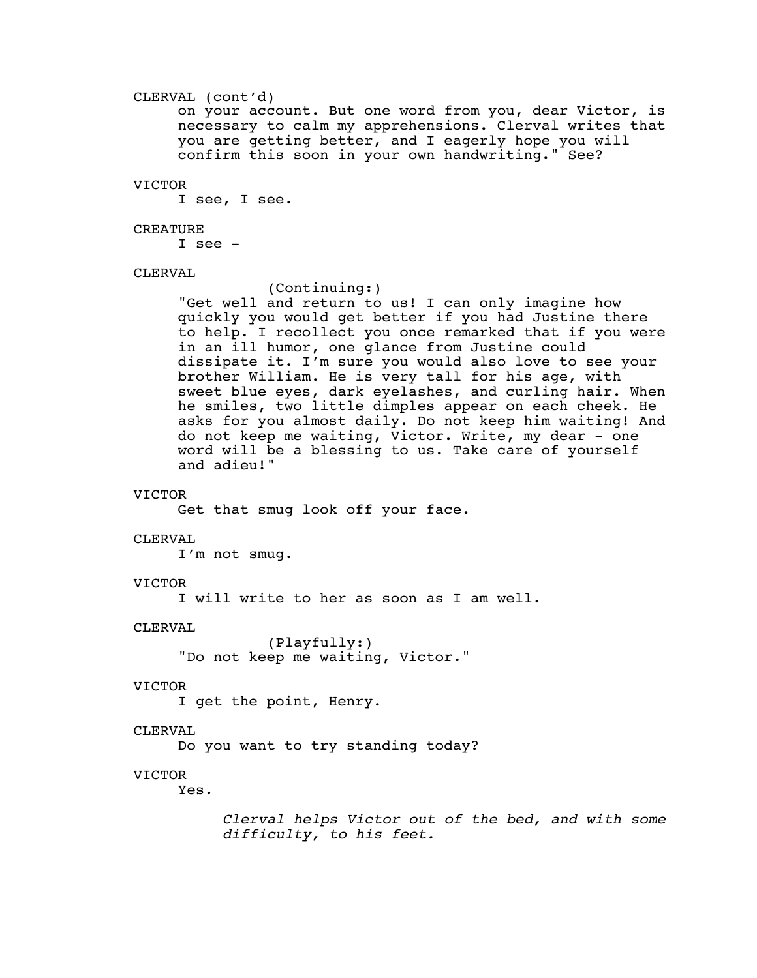# CLERVAL (cont'd)

on your account. But one word from you, dear Victor, is necessary to calm my apprehensions. Clerval writes that you are getting better, and I eagerly hope you will confirm this soon in your own handwriting." See?

#### VICTOR

I see, I see.

# CREATURE

I see -

# CLERVAL

(Continuing:)

"Get well and return to us! I can only imagine how quickly you would get better if you had Justine there to help. I recollect you once remarked that if you were in an ill humor, one glance from Justine could dissipate it. I'm sure you would also love to see your brother William. He is very tall for his age, with sweet blue eyes, dark eyelashes, and curling hair. When he smiles, two little dimples appear on each cheek. He asks for you almost daily. Do not keep him waiting! And do not keep me waiting, Victor. Write, my dear - one word will be a blessing to us. Take care of yourself and adieu!"

# VICTOR

Get that smug look off your face.

#### CLERVAL

I'm not smug.

# VICTOR

I will write to her as soon as I am well.

# CLERVAL

(Playfully:) "Do not keep me waiting, Victor."

# VICTOR

I get the point, Henry.

# CLERVAL

Do you want to try standing today?

#### VICTOR

Yes.

*Clerval helps Victor out of the bed, and with some difficulty, to his feet.*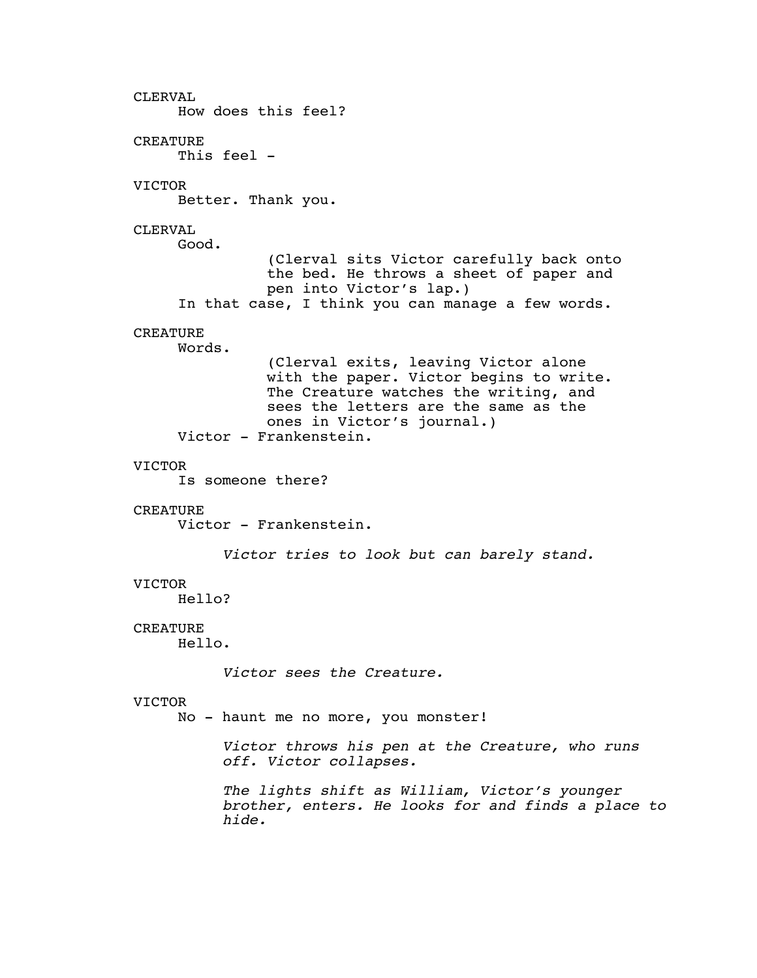CLERVAL How does this feel? CREATURE This feel -VICTOR Better. Thank you. CLERVAL Good. (Clerval sits Victor carefully back onto the bed. He throws a sheet of paper and pen into Victor's lap.) In that case, I think you can manage a few words. **CREATURE** Words. (Clerval exits, leaving Victor alone with the paper. Victor begins to write. The Creature watches the writing, and sees the letters are the same as the ones in Victor's journal.) Victor - Frankenstein. VICTOR Is someone there? CREATURE Victor - Frankenstein. *Victor tries to look but can barely stand.* VICTOR Hello? CREATURE Hello. *Victor sees the Creature.* VICTOR No - haunt me no more, you monster! *Victor throws his pen at the Creature, who runs off. Victor collapses. The lights shift as William, Victor's younger brother, enters. He looks for and finds a place to hide.*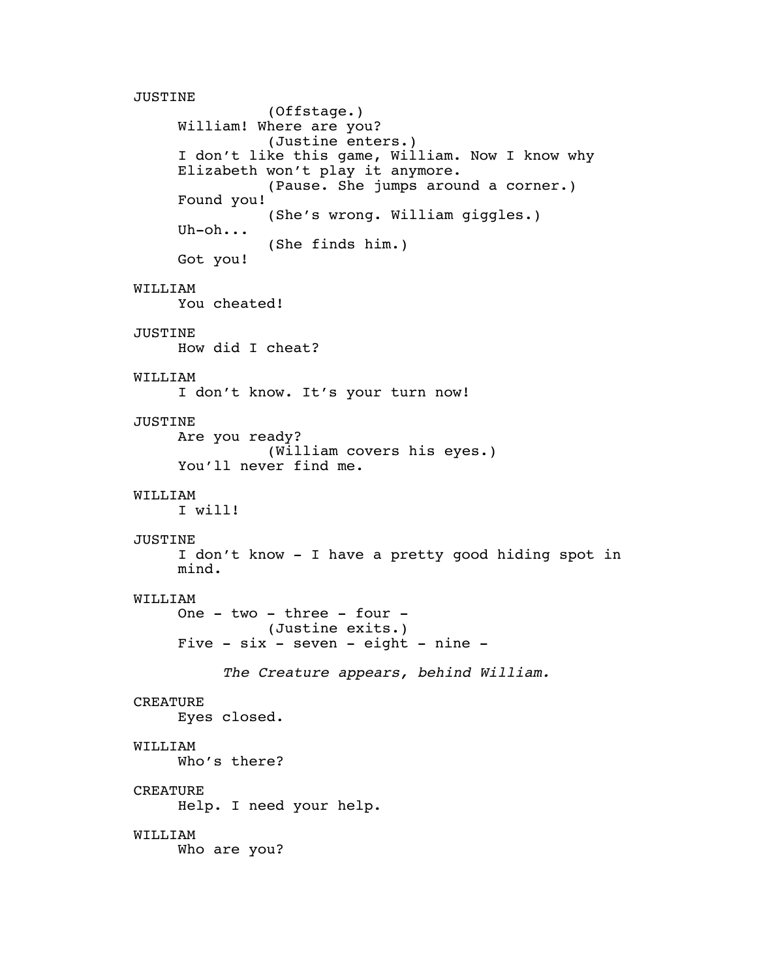JUSTINE (Offstage.) William! Where are you? (Justine enters.) I don't like this game, William. Now I know why Elizabeth won't play it anymore. (Pause. She jumps around a corner.) Found you! (She's wrong. William giggles.) Uh-oh... (She finds him.) Got you! WILLIAM You cheated! JUSTINE How did I cheat? WILLIAM I don't know. It's your turn now! JUSTINE Are you ready? (William covers his eyes.) You'll never find me. WILLIAM I will! JUSTINE I don't know - I have a pretty good hiding spot in mind. WILLIAM One - two - three - four - (Justine exits.) Five  $-$  six  $-$  seven  $-$  eight  $-$  nine  $-$ *The Creature appears, behind William.* CREATURE Eyes closed. WILLIAM Who's there? CREATURE Help. I need your help. WILLIAM Who are you?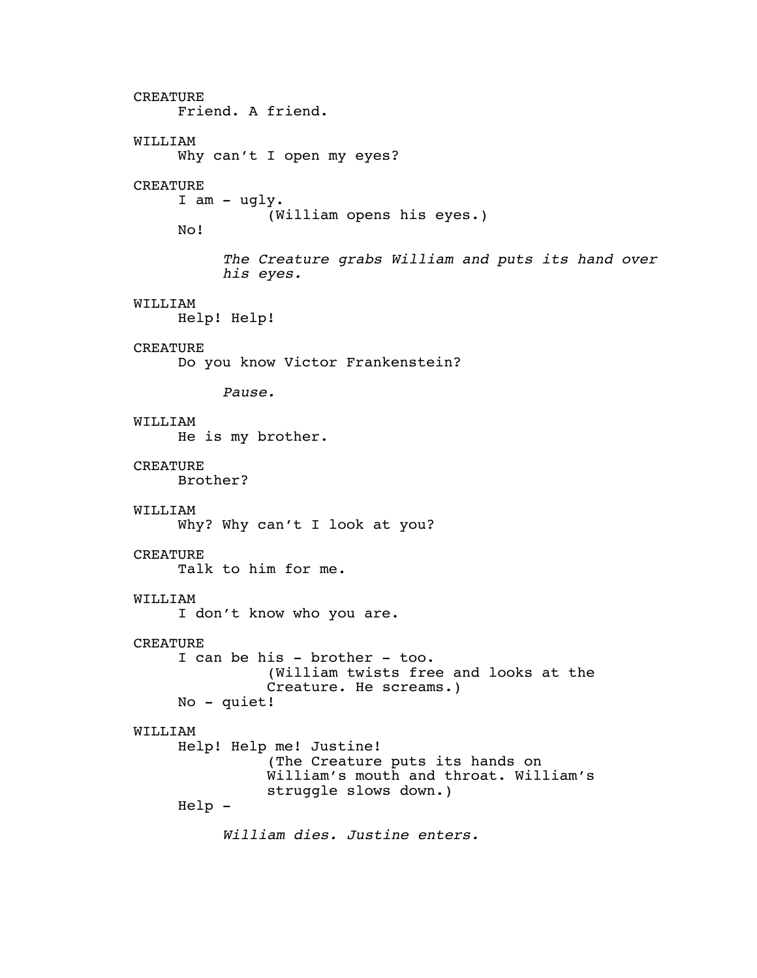CREATURE Friend. A friend. WILLIAM Why can't I open my eyes? CREATURE I am - ugly. (William opens his eyes.) No! *The Creature grabs William and puts its hand over his eyes.* WILLIAM Help! Help! **CREATURE** Do you know Victor Frankenstein? *Pause.* WILLIAM He is my brother. CREATURE Brother? WILLIAM Why? Why can't I look at you? CREATURE Talk to him for me. WILLIAM I don't know who you are. CREATURE I can be his - brother - too. (William twists free and looks at the Creature. He screams.) No - quiet! WILLIAM Help! Help me! Justine! (The Creature puts its hands on William's mouth and throat. William's struggle slows down.) Help - *William dies. Justine enters.*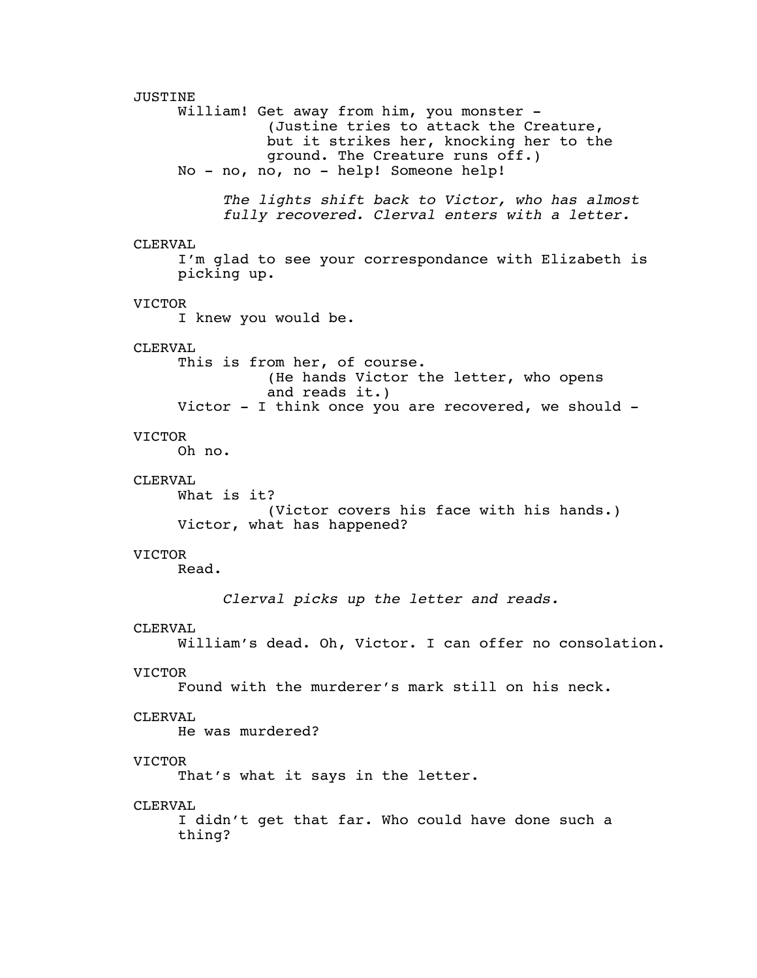JUSTINE William! Get away from him, you monster -(Justine tries to attack the Creature, but it strikes her, knocking her to the ground. The Creature runs off.) No - no, no, no - help! Someone help! *The lights shift back to Victor, who has almost fully recovered. Clerval enters with a letter.* CLERVAL I'm glad to see your correspondance with Elizabeth is picking up. VICTOR I knew you would be. CLERVAL This is from her, of course. (He hands Victor the letter, who opens and reads it.) Victor - I think once you are recovered, we should - VICTOR Oh no. CLERVAL What is it? (Victor covers his face with his hands.) Victor, what has happened? VICTOR Read. *Clerval picks up the letter and reads.* CLERVAL William's dead. Oh, Victor. I can offer no consolation. VICTOR Found with the murderer's mark still on his neck. CLERVAL He was murdered? VICTOR That's what it says in the letter. CLERVAL I didn't get that far. Who could have done such a thing?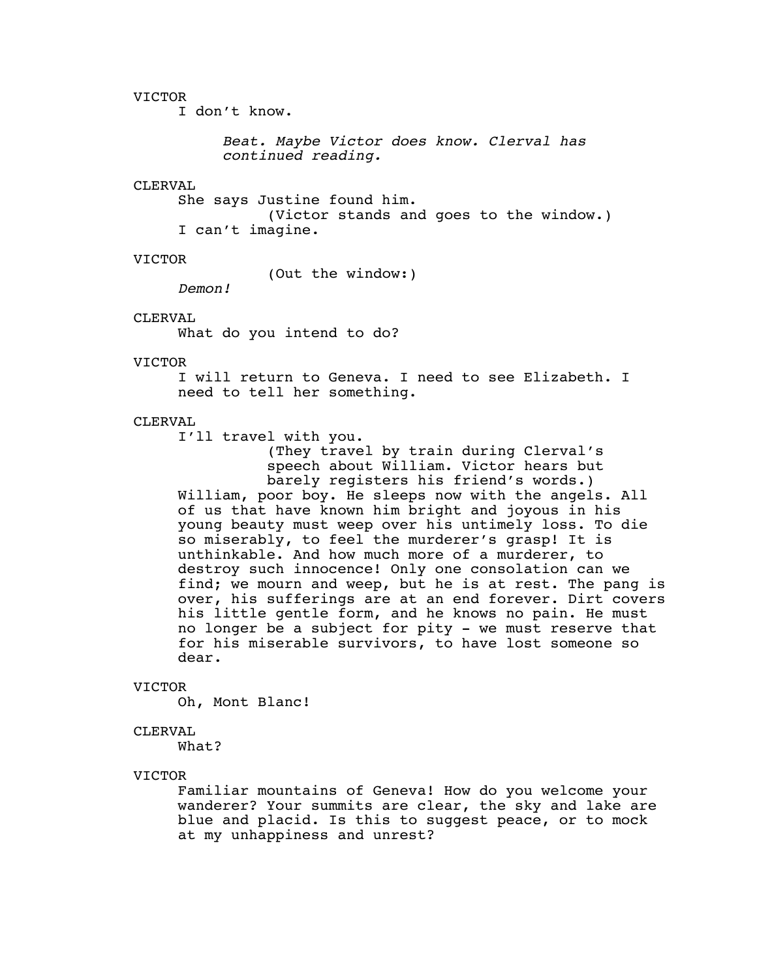I don't know.

*Beat. Maybe Victor does know. Clerval has continued reading.*

#### CLERVAL

She says Justine found him. (Victor stands and goes to the window.) I can't imagine.

#### VICTOR

(Out the window:)

*Demon!*

#### CLERVAL

What do you intend to do?

#### VICTOR

I will return to Geneva. I need to see Elizabeth. I need to tell her something.

# CLERVAL

I'll travel with you.

(They travel by train during Clerval's speech about William. Victor hears but barely registers his friend's words.) William, poor boy. He sleeps now with the angels. All of us that have known him bright and joyous in his young beauty must weep over his untimely loss. To die so miserably, to feel the murderer's grasp! It is unthinkable. And how much more of a murderer, to destroy such innocence! Only one consolation can we find; we mourn and weep, but he is at rest. The pang is over, his sufferings are at an end forever. Dirt covers his little gentle form, and he knows no pain. He must no longer be a subject for pity - we must reserve that for his miserable survivors, to have lost someone so dear.

#### VICTOR

Oh, Mont Blanc!

#### CLERVAL

What?

#### VICTOR

Familiar mountains of Geneva! How do you welcome your wanderer? Your summits are clear, the sky and lake are blue and placid. Is this to suggest peace, or to mock at my unhappiness and unrest?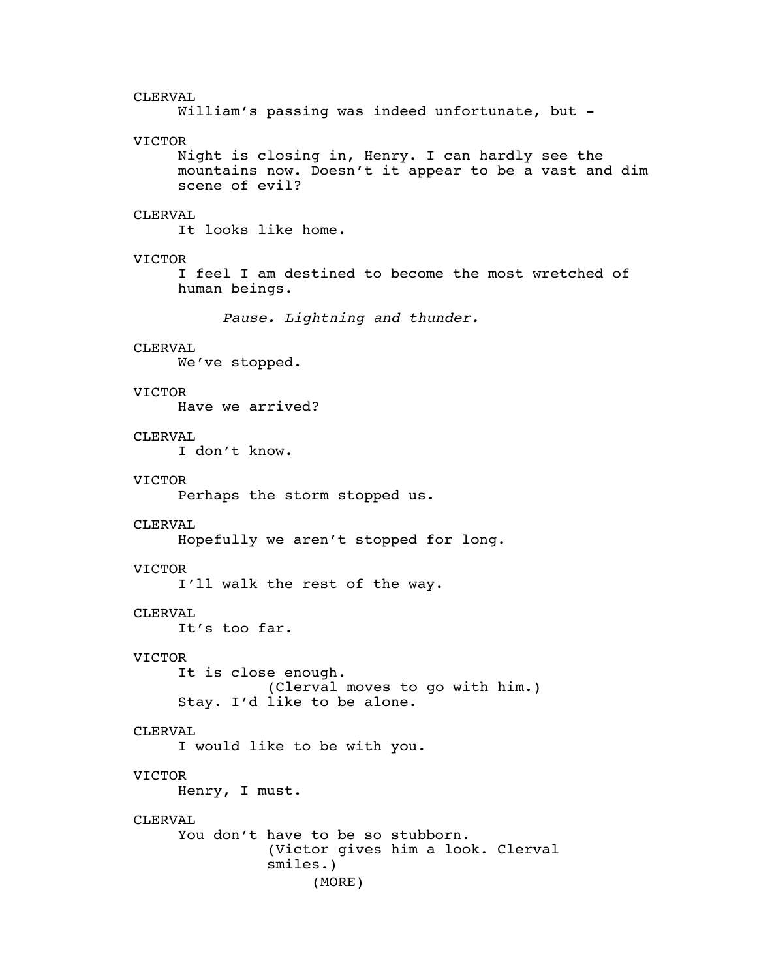CLERVAL William's passing was indeed unfortunate, but -VICTOR Night is closing in, Henry. I can hardly see the mountains now. Doesn't it appear to be a vast and dim scene of evil? CLERVAL It looks like home. VICTOR I feel I am destined to become the most wretched of human beings. *Pause. Lightning and thunder.* CLERVAL We've stopped. VICTOR Have we arrived? CLERVAL I don't know. VICTOR Perhaps the storm stopped us. CLERVAL Hopefully we aren't stopped for long. VICTOR I'll walk the rest of the way. CLERVAL It's too far. VICTOR It is close enough. (Clerval moves to go with him.) Stay. I'd like to be alone. CLERVAL I would like to be with you. VICTOR Henry, I must. CLERVAL You don't have to be so stubborn. (Victor gives him a look. Clerval smiles.) (MORE)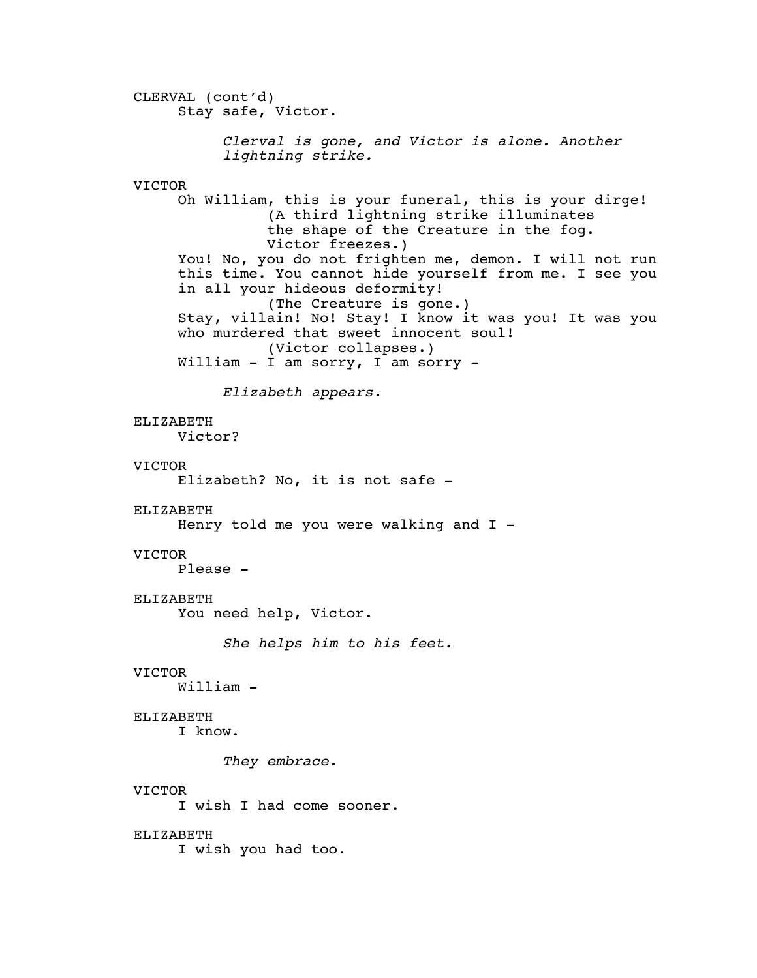CLERVAL (cont'd) Stay safe, Victor. *Clerval is gone, and Victor is alone. Another lightning strike.* VICTOR Oh William, this is your funeral, this is your dirge! (A third lightning strike illuminates the shape of the Creature in the fog. Victor freezes.) You! No, you do not frighten me, demon. I will not run this time. You cannot hide yourself from me. I see you in all your hideous deformity! (The Creature is gone.) Stay, villain! No! Stay! I know it was you! It was you who murdered that sweet innocent soul! (Victor collapses.) William - I am sorry, I am sorry - *Elizabeth appears.* ELIZABETH Victor? VICTOR Elizabeth? No, it is not safe - ELIZABETH Henry told me you were walking and  $I -$ VICTOR Please - ELIZABETH You need help, Victor. *She helps him to his feet.* VICTOR William - ELIZABETH I know. *They embrace.* VICTOR I wish I had come sooner. ELIZABETH I wish you had too.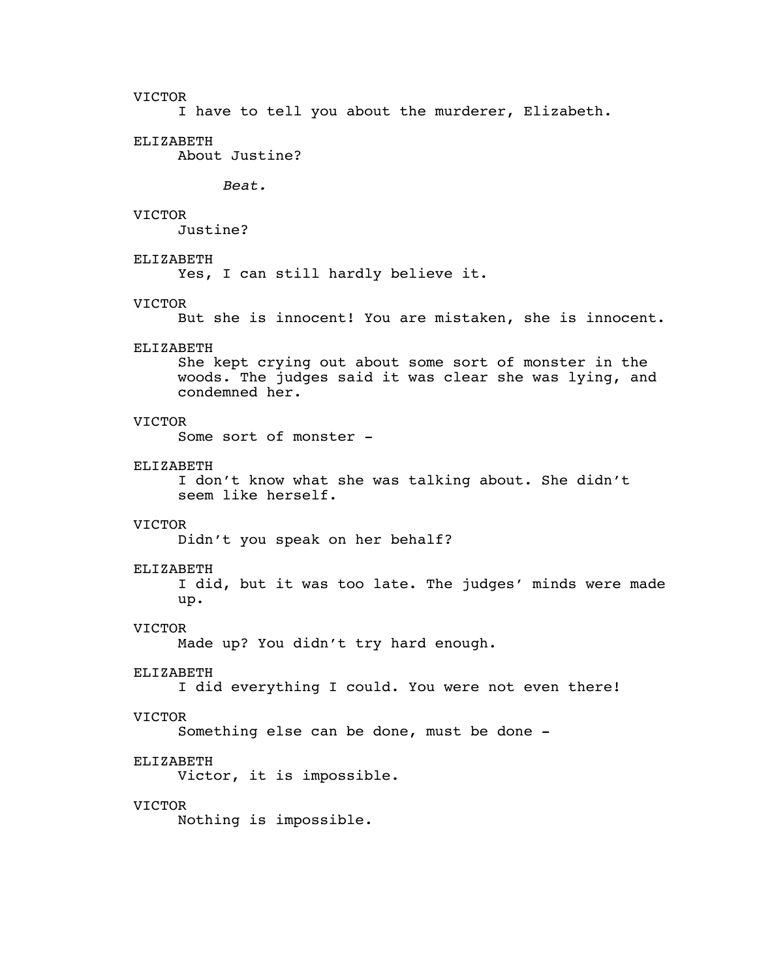I have to tell you about the murderer, Elizabeth.

#### ELIZABETH

About Justine?

*Beat.*

# VICTOR

Justine?

# ELIZABETH

Yes, I can still hardly believe it.

#### VICTOR

But she is innocent! You are mistaken, she is innocent.

# ELIZABETH

She kept crying out about some sort of monster in the woods. The judges said it was clear she was lying, and condemned her.

# VICTOR

Some sort of monster -

#### ELIZABETH

I don't know what she was talking about. She didn't seem like herself.

#### VICTOR

Didn't you speak on her behalf?

#### ELIZABETH

I did, but it was too late. The judges' minds were made up.

#### VICTOR

Made up? You didn't try hard enough.

#### ELIZABETH

I did everything I could. You were not even there!

# VICTOR

Something else can be done, must be done -

# ELIZABETH

Victor, it is impossible.

# VICTOR

Nothing is impossible.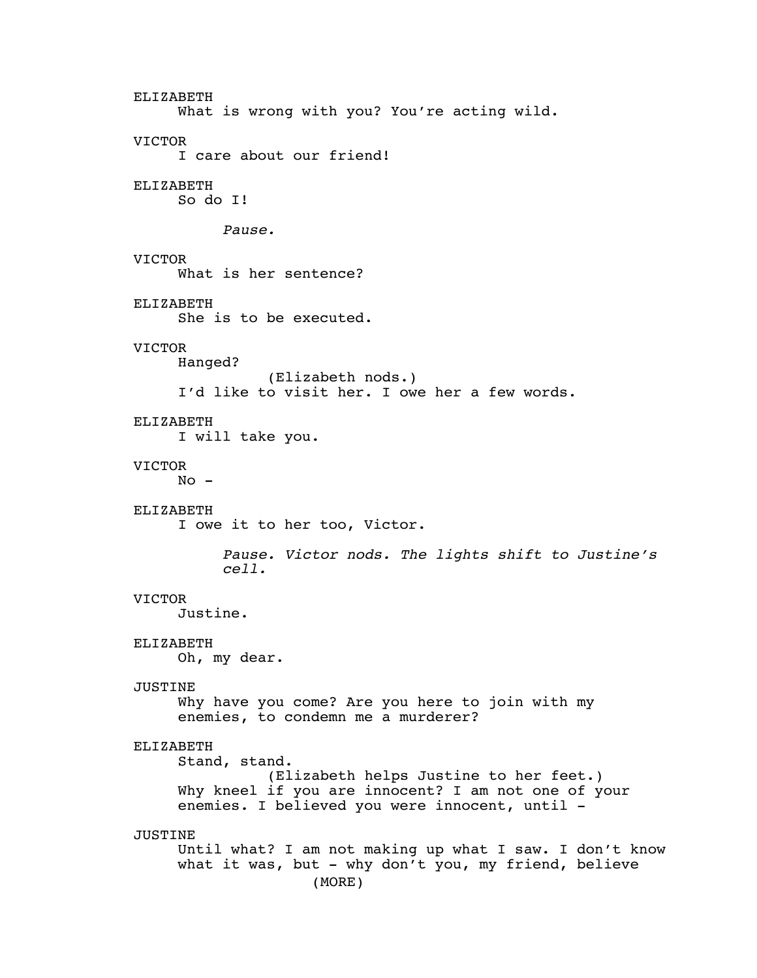ELIZABETH What is wrong with you? You're acting wild. VICTOR I care about our friend! ELIZABETH So do I! *Pause.* VICTOR What is her sentence? ELIZABETH She is to be executed. VICTOR Hanged? (Elizabeth nods.) I'd like to visit her. I owe her a few words. ELIZABETH I will take you. VICTOR  $No -$ ELIZABETH I owe it to her too, Victor. *Pause. Victor nods. The lights shift to Justine's cell.* VICTOR Justine. ELIZABETH Oh, my dear. JUSTINE Why have you come? Are you here to join with my enemies, to condemn me a murderer? ELIZABETH Stand, stand. (Elizabeth helps Justine to her feet.) Why kneel if you are innocent? I am not one of your enemies. I believed you were innocent, until - JUSTINE Until what? I am not making up what I saw. I don't know what it was, but - why don't you, my friend, believe (MORE)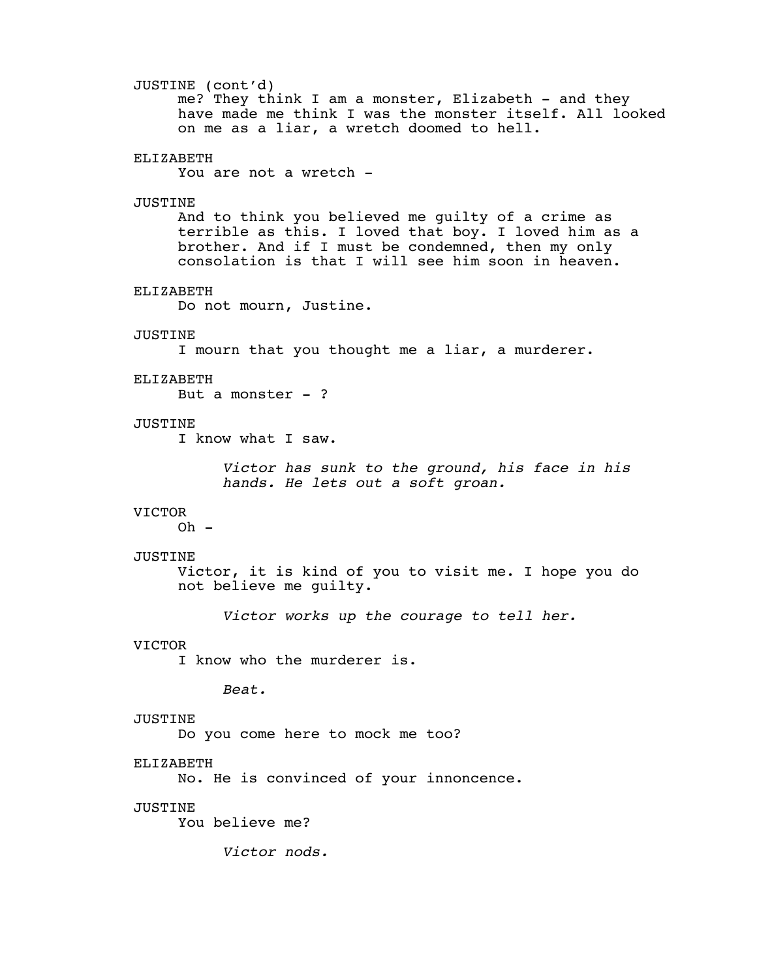# JUSTINE (cont'd)

me? They think I am a monster, Elizabeth - and they have made me think I was the monster itself. All looked on me as a liar, a wretch doomed to hell.

#### ELIZABETH

You are not a wretch -

#### JUSTINE

And to think you believed me guilty of a crime as terrible as this. I loved that boy. I loved him as a brother. And if I must be condemned, then my only consolation is that I will see him soon in heaven.

#### ELIZABETH

Do not mourn, Justine.

### JUSTINE

I mourn that you thought me a liar, a murderer.

#### ELIZABETH

But a monster - ?

# JUSTINE

I know what I saw.

*Victor has sunk to the ground, his face in his hands. He lets out a soft groan.*

# VICTOR

 $Oh -$ 

#### JUSTINE

Victor, it is kind of you to visit me. I hope you do not believe me guilty.

*Victor works up the courage to tell her.*

#### VICTOR

I know who the murderer is.

*Beat.*

# JUSTINE

Do you come here to mock me too?

# ELIZABETH

No. He is convinced of your innoncence.

# JUSTINE

You believe me?

*Victor nods.*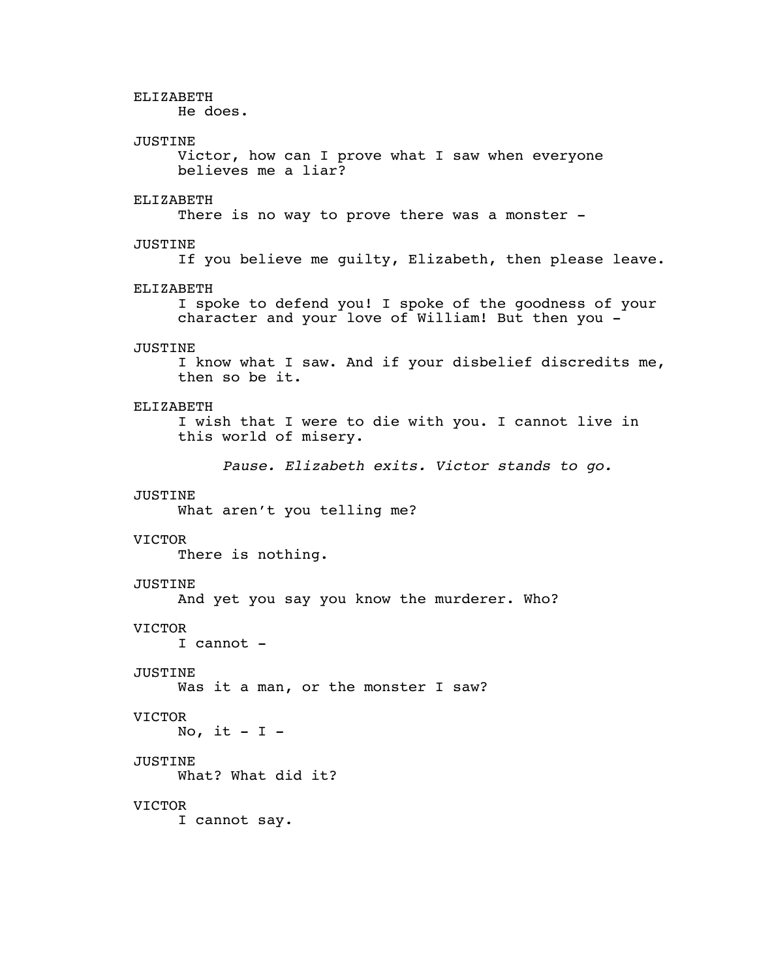ELIZABETH He does. JUSTINE Victor, how can I prove what I saw when everyone believes me a liar? ELIZABETH There is no way to prove there was a monster -JUSTINE If you believe me guilty, Elizabeth, then please leave. ELIZABETH I spoke to defend you! I spoke of the goodness of your character and your love of William! But then you - JUSTINE I know what I saw. And if your disbelief discredits me, then so be it. ELIZABETH I wish that I were to die with you. I cannot live in this world of misery. *Pause. Elizabeth exits. Victor stands to go.* JUSTINE What aren't you telling me? VICTOR There is nothing. JUSTINE And yet you say you know the murderer. Who? VICTOR I cannot - JUSTINE Was it a man, or the monster I saw? VICTOR No, it  $- I -$ JUSTINE What? What did it? VICTOR I cannot say.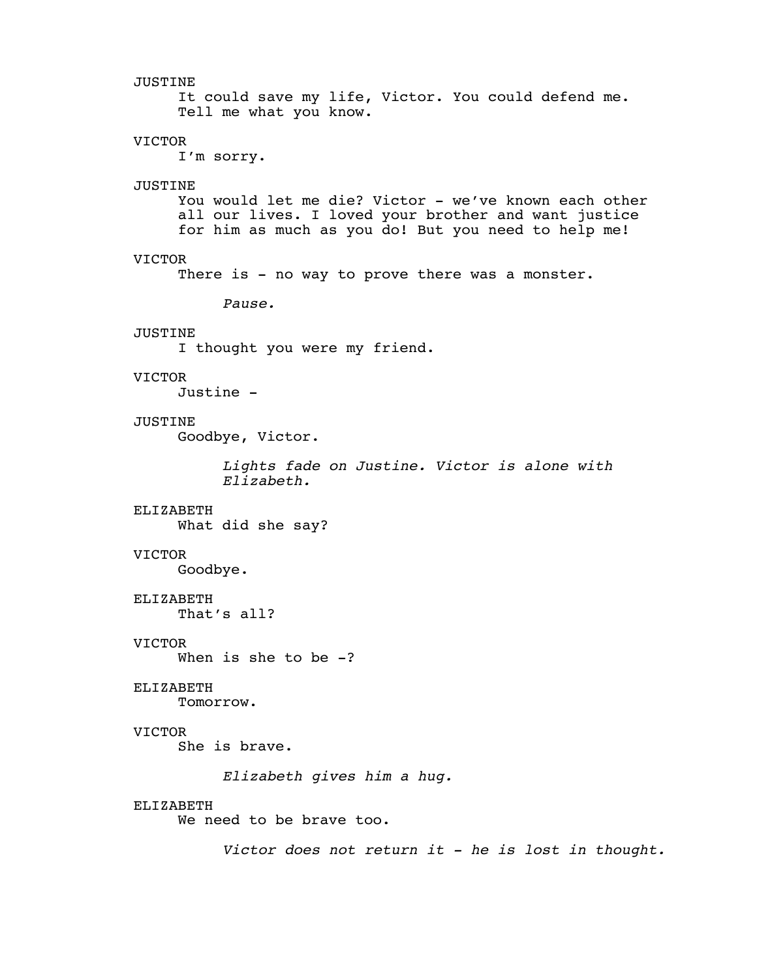JUSTINE It could save my life, Victor. You could defend me. Tell me what you know. VICTOR I'm sorry. JUSTINE You would let me die? Victor - we've known each other all our lives. I loved your brother and want justice for him as much as you do! But you need to help me! VICTOR There is - no way to prove there was a monster. *Pause.* JUSTINE I thought you were my friend. VICTOR Justine - JUSTINE Goodbye, Victor. *Lights fade on Justine. Victor is alone with Elizabeth.* ELIZABETH What did she say? VICTOR Goodbye. ELIZABETH That's all? VICTOR When is she to be  $-?$ ELIZABETH Tomorrow. VICTOR She is brave. *Elizabeth gives him a hug.* ELIZABETH We need to be brave too. *Victor does not return it - he is lost in thought.*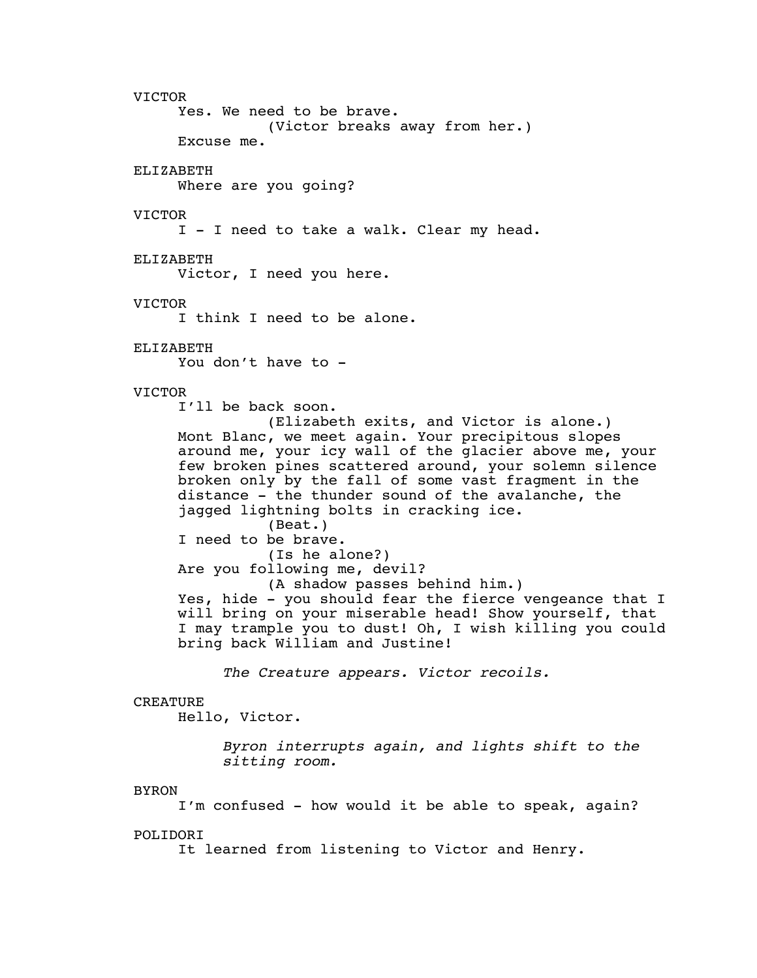VICTOR Yes. We need to be brave. (Victor breaks away from her.) Excuse me. ELIZABETH Where are you going? VICTOR I - I need to take a walk. Clear my head. ELIZABETH Victor, I need you here. VICTOR I think I need to be alone. ELIZABETH You don't have to - VICTOR I'll be back soon. (Elizabeth exits, and Victor is alone.) Mont Blanc, we meet again. Your precipitous slopes around me, your icy wall of the glacier above me, your few broken pines scattered around, your solemn silence broken only by the fall of some vast fragment in the distance - the thunder sound of the avalanche, the jagged lightning bolts in cracking ice. (Beat.) I need to be brave. (Is he alone?) Are you following me, devil? (A shadow passes behind him.) Yes, hide - you should fear the fierce vengeance that I will bring on your miserable head! Show yourself, that I may trample you to dust! Oh, I wish killing you could bring back William and Justine! *The Creature appears. Victor recoils.* CREATURE Hello, Victor. *Byron interrupts again, and lights shift to the sitting room.* BYRON I'm confused - how would it be able to speak, again? POLIDORI It learned from listening to Victor and Henry.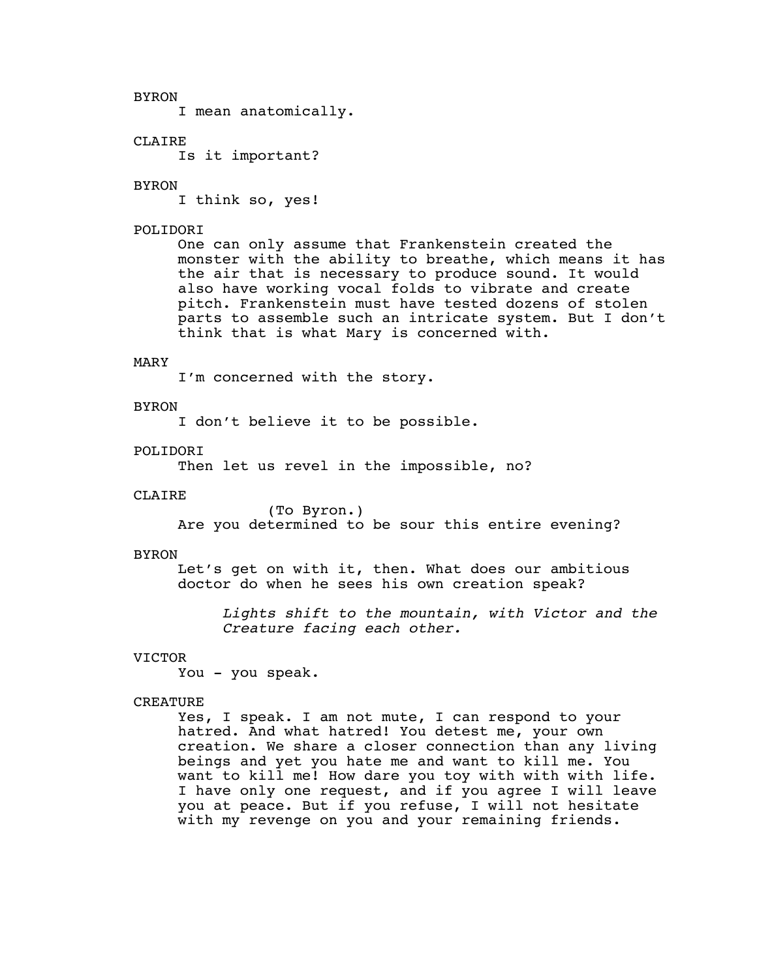BYRON I mean anatomically.

# **CLAIRE**

Is it important?

#### BYRON

I think so, yes!

# POLIDORI

One can only assume that Frankenstein created the monster with the ability to breathe, which means it has the air that is necessary to produce sound. It would also have working vocal folds to vibrate and create pitch. Frankenstein must have tested dozens of stolen parts to assemble such an intricate system. But I don't think that is what Mary is concerned with.

#### MARY

I'm concerned with the story.

#### BYRON

I don't believe it to be possible.

#### POLIDOR<sub>T</sub>

Then let us revel in the impossible, no?

#### CLAIRE

(To Byron.) Are you determined to be sour this entire evening?

#### BYRON

Let's get on with it, then. What does our ambitious doctor do when he sees his own creation speak?

*Lights shift to the mountain, with Victor and the Creature facing each other.*

# VICTOR

You - you speak.

# CREATURE

Yes, I speak. I am not mute, I can respond to your hatred. And what hatred! You detest me, your own creation. We share a closer connection than any living beings and yet you hate me and want to kill me. You want to kill me! How dare you toy with with with life. I have only one request, and if you agree I will leave you at peace. But if you refuse, I will not hesitate with my revenge on you and your remaining friends.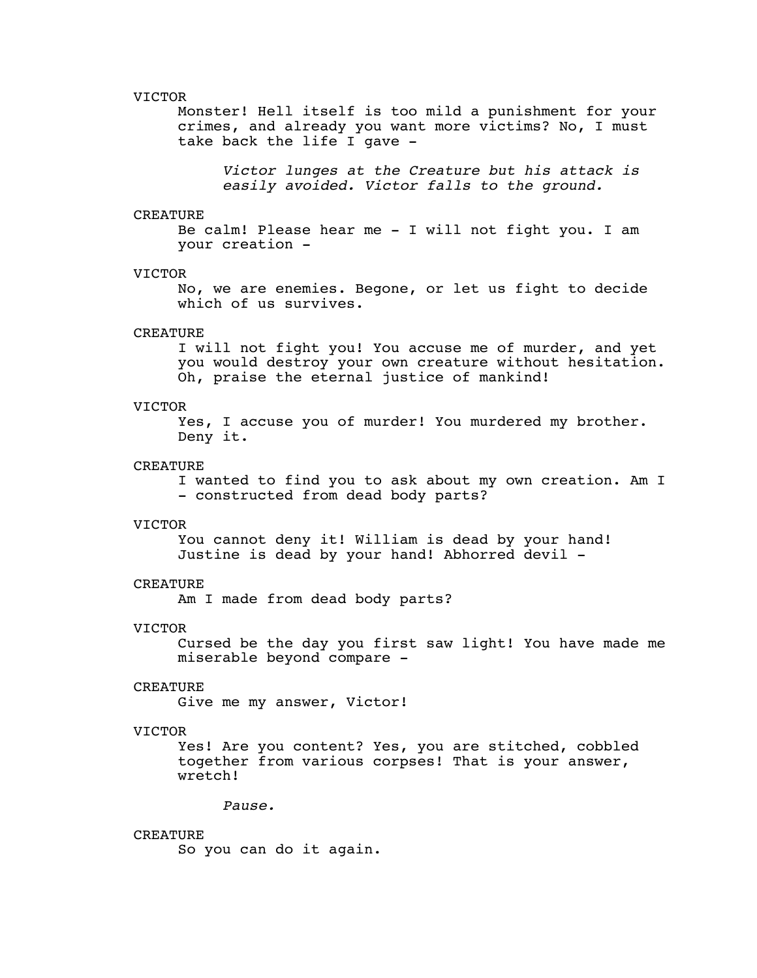Monster! Hell itself is too mild a punishment for your crimes, and already you want more victims? No, I must take back the life I gave -

*Victor lunges at the Creature but his attack is easily avoided. Victor falls to the ground.*

#### CREATURE

Be calm! Please hear me - I will not fight you. I am your creation -

# VICTOR

No, we are enemies. Begone, or let us fight to decide which of us survives.

# CREATURE

I will not fight you! You accuse me of murder, and yet you would destroy your own creature without hesitation. Oh, praise the eternal justice of mankind!

#### VICTOR

Yes, I accuse you of murder! You murdered my brother. Deny it.

#### CREATURE

I wanted to find you to ask about my own creation. Am I - constructed from dead body parts?

#### VICTOR

You cannot deny it! William is dead by your hand! Justine is dead by your hand! Abhorred devil -

# CREATURE

Am I made from dead body parts?

#### VICTOR

Cursed be the day you first saw light! You have made me miserable beyond compare -

# CREATURE

Give me my answer, Victor!

#### VICTOR

Yes! Are you content? Yes, you are stitched, cobbled together from various corpses! That is your answer, wretch!

*Pause.*

# CREATURE

So you can do it again.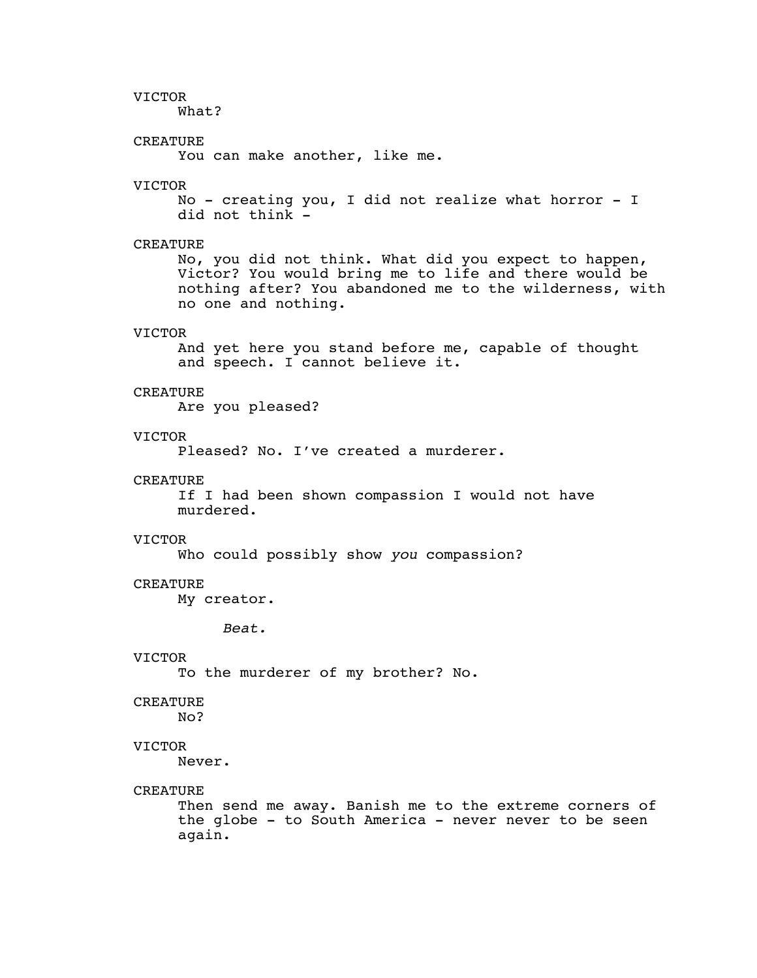What?

# CREATURE

You can make another, like me.

# VICTOR

No - creating you, I did not realize what horror - I did not think -

# CREATURE

No, you did not think. What did you expect to happen, Victor? You would bring me to life and there would be nothing after? You abandoned me to the wilderness, with no one and nothing.

# VICTOR

And yet here you stand before me, capable of thought and speech. I cannot believe it.

#### CREATURE

Are you pleased?

# VICTOR

Pleased? No. I've created a murderer.

#### CREATURE

If I had been shown compassion I would not have murdered.

#### VICTOR

Who could possibly show *you* compassion?

# **CREATURE**

My creator.

*Beat.*

# VICTOR

To the murderer of my brother? No.

#### CREATURE

No?

#### VICTOR

Never.

#### CREATURE

Then send me away. Banish me to the extreme corners of the globe - to South America - never never to be seen again.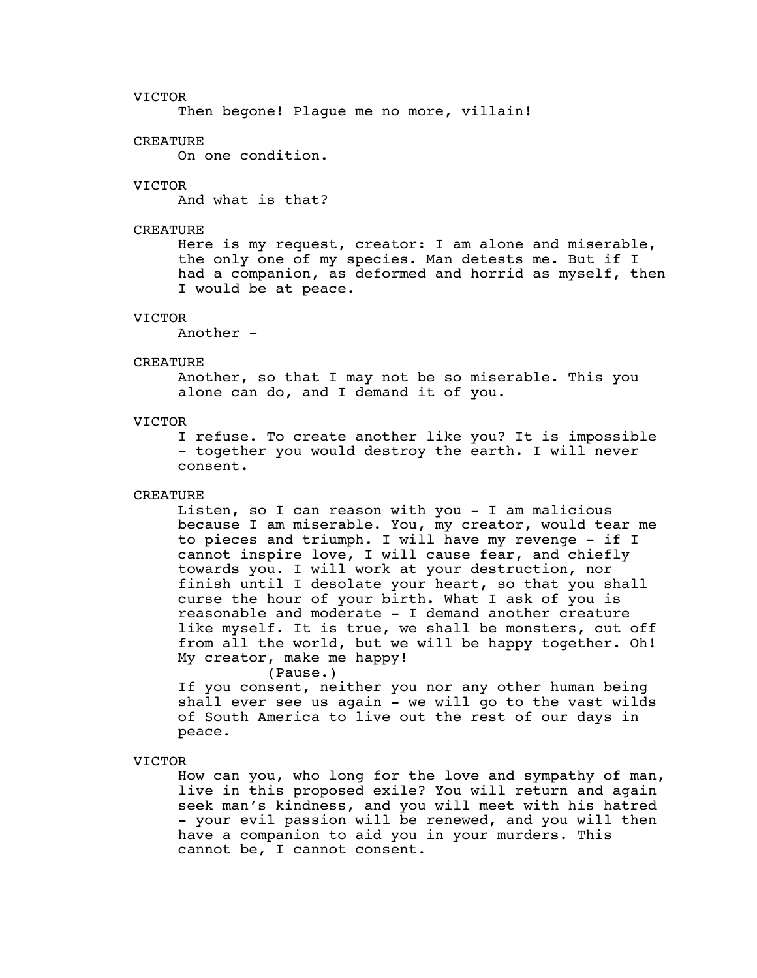Then begone! Plague me no more, villain!

#### CREATURE

On one condition.

# VICTOR

And what is that?

# CREATURE

Here is my request, creator: I am alone and miserable, the only one of my species. Man detests me. But if I had a companion, as deformed and horrid as myself, then I would be at peace.

# VICTOR

Another -

#### CREATURE

Another, so that I may not be so miserable. This you alone can do, and I demand it of you.

# VICTOR

I refuse. To create another like you? It is impossible - together you would destroy the earth. I will never consent.

# CREATURE

Listen, so I can reason with you - I am malicious because I am miserable. You, my creator, would tear me to pieces and triumph. I will have my revenge - if I cannot inspire love, I will cause fear, and chiefly towards you. I will work at your destruction, nor finish until I desolate your heart, so that you shall curse the hour of your birth. What I ask of you is reasonable and moderate - I demand another creature like myself. It is true, we shall be monsters, cut off from all the world, but we will be happy together. Oh! My creator, make me happy!

(Pause.)

If you consent, neither you nor any other human being shall ever see us again - we will go to the vast wilds of South America to live out the rest of our days in peace.

# VICTOR

How can you, who long for the love and sympathy of man, live in this proposed exile? You will return and again seek man's kindness, and you will meet with his hatred - your evil passion will be renewed, and you will then have a companion to aid you in your murders. This cannot be, I cannot consent.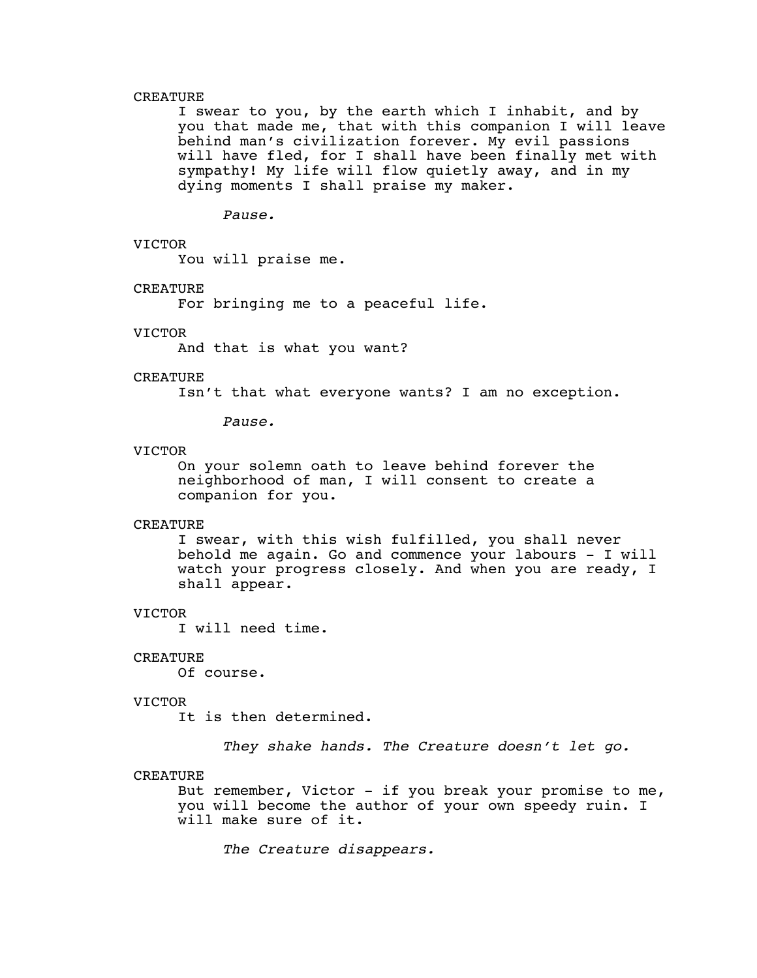# CREATURE

I swear to you, by the earth which I inhabit, and by you that made me, that with this companion I will leave behind man's civilization forever. My evil passions will have fled, for I shall have been finally met with sympathy! My life will flow quietly away, and in my dying moments I shall praise my maker.

*Pause.*

# VICTOR

You will praise me.

# CREATURE

For bringing me to a peaceful life.

#### VICTOR

And that is what you want?

# CREATURE

Isn't that what everyone wants? I am no exception.

*Pause.*

# VICTOR

On your solemn oath to leave behind forever the neighborhood of man, I will consent to create a companion for you.

#### CREATURE

I swear, with this wish fulfilled, you shall never behold me again. Go and commence your labours - I will watch your progress closely. And when you are ready, I shall appear.

#### VICTOR

I will need time.

#### CREATURE

Of course.

#### VICTOR

It is then determined.

*They shake hands. The Creature doesn't let go.*

# CREATURE

But remember, Victor - if you break your promise to me, you will become the author of your own speedy ruin. I will make sure of it.

*The Creature disappears.*